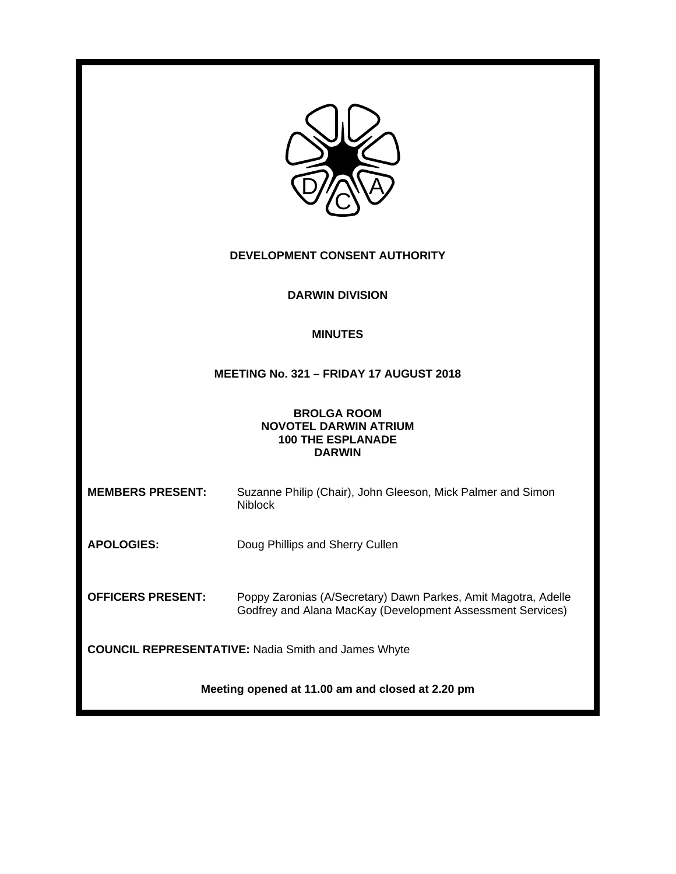| DEVELOPMENT CONSENT AUTHORITY                                                                   |                                                                                                                              |  |
|-------------------------------------------------------------------------------------------------|------------------------------------------------------------------------------------------------------------------------------|--|
| <b>DARWIN DIVISION</b>                                                                          |                                                                                                                              |  |
| <b>MINUTES</b>                                                                                  |                                                                                                                              |  |
|                                                                                                 | MEETING No. 321 - FRIDAY 17 AUGUST 2018                                                                                      |  |
| <b>BROLGA ROOM</b><br><b>NOVOTEL DARWIN ATRIUM</b><br><b>100 THE ESPLANADE</b><br><b>DARWIN</b> |                                                                                                                              |  |
| <b>MEMBERS PRESENT:</b>                                                                         | Suzanne Philip (Chair), John Gleeson, Mick Palmer and Simon<br><b>Niblock</b>                                                |  |
| <b>APOLOGIES:</b>                                                                               | Doug Phillips and Sherry Cullen                                                                                              |  |
| <b>OFFICERS PRESENT:</b>                                                                        | Poppy Zaronias (A/Secretary) Dawn Parkes, Amit Magotra, Adelle<br>Godfrey and Alana MacKay (Development Assessment Services) |  |
| <b>COUNCIL REPRESENTATIVE: Nadia Smith and James Whyte</b>                                      |                                                                                                                              |  |
| Meeting opened at 11.00 am and closed at 2.20 pm                                                |                                                                                                                              |  |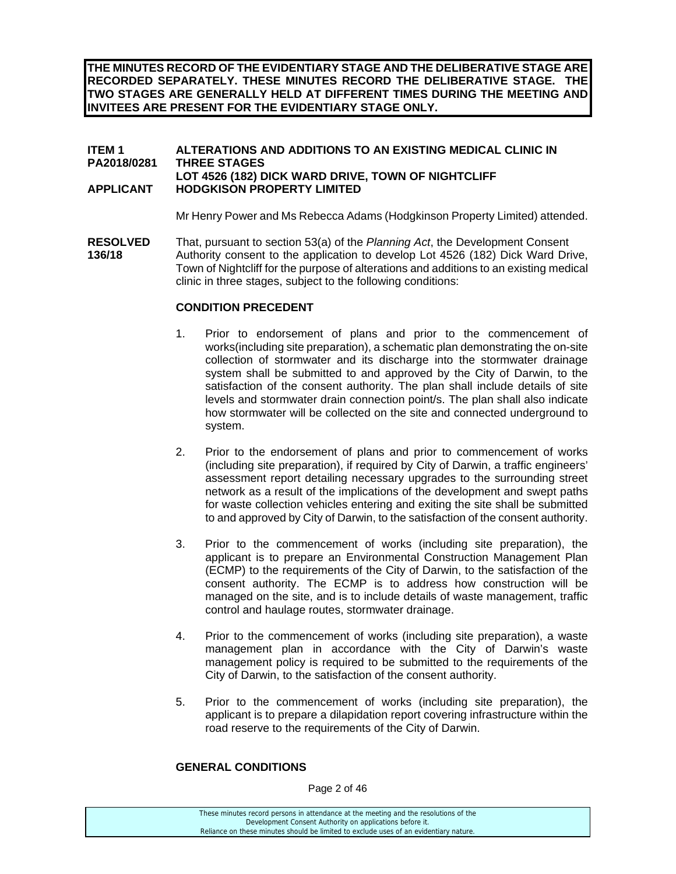**THE MINUTES RECORD OF THE EVIDENTIARY STAGE AND THE DELIBERATIVE STAGE ARE RECORDED SEPARATELY. THESE MINUTES RECORD THE DELIBERATIVE STAGE. THE TWO STAGES ARE GENERALLY HELD AT DIFFERENT TIMES DURING THE MEETING AND INVITEES ARE PRESENT FOR THE EVIDENTIARY STAGE ONLY.** 

# **ITEM 1 ALTERATIONS AND ADDITIONS TO AN EXISTING MEDICAL CLINIC IN PA2018/0281 THREE STAGES LOT 4526 (182) DICK WARD DRIVE, TOWN OF NIGHTCLIFF APPLICANT HODGKISON PROPERTY LIMITED**

Mr Henry Power and Ms Rebecca Adams (Hodgkinson Property Limited) attended.

**RESOLVED** That, pursuant to section 53(a) of the *Planning Act*, the Development Consent **136/18** Authority consent to the application to develop Lot 4526 (182) Dick Ward Drive, Town of Nightcliff for the purpose of alterations and additions to an existing medical clinic in three stages, subject to the following conditions:

# **CONDITION PRECEDENT**

- 1. Prior to endorsement of plans and prior to the commencement of works(including site preparation), a schematic plan demonstrating the on-site collection of stormwater and its discharge into the stormwater drainage system shall be submitted to and approved by the City of Darwin, to the satisfaction of the consent authority. The plan shall include details of site levels and stormwater drain connection point/s. The plan shall also indicate how stormwater will be collected on the site and connected underground to system.
- 2. Prior to the endorsement of plans and prior to commencement of works (including site preparation), if required by City of Darwin, a traffic engineers' assessment report detailing necessary upgrades to the surrounding street network as a result of the implications of the development and swept paths for waste collection vehicles entering and exiting the site shall be submitted to and approved by City of Darwin, to the satisfaction of the consent authority.
- 3. Prior to the commencement of works (including site preparation), the applicant is to prepare an Environmental Construction Management Plan (ECMP) to the requirements of the City of Darwin, to the satisfaction of the consent authority. The ECMP is to address how construction will be managed on the site, and is to include details of waste management, traffic control and haulage routes, stormwater drainage.
- 4. Prior to the commencement of works (including site preparation), a waste management plan in accordance with the City of Darwin's waste management policy is required to be submitted to the requirements of the City of Darwin, to the satisfaction of the consent authority.
- 5. Prior to the commencement of works (including site preparation), the applicant is to prepare a dilapidation report covering infrastructure within the road reserve to the requirements of the City of Darwin.

# **GENERAL CONDITIONS**

Page 2 of 46

| These minutes record persons in attendance at the meeting and the resolutions of the  |
|---------------------------------------------------------------------------------------|
| Development Consent Authority on applications before it.                              |
| Reliance on these minutes should be limited to exclude uses of an evidentiary nature. |
|                                                                                       |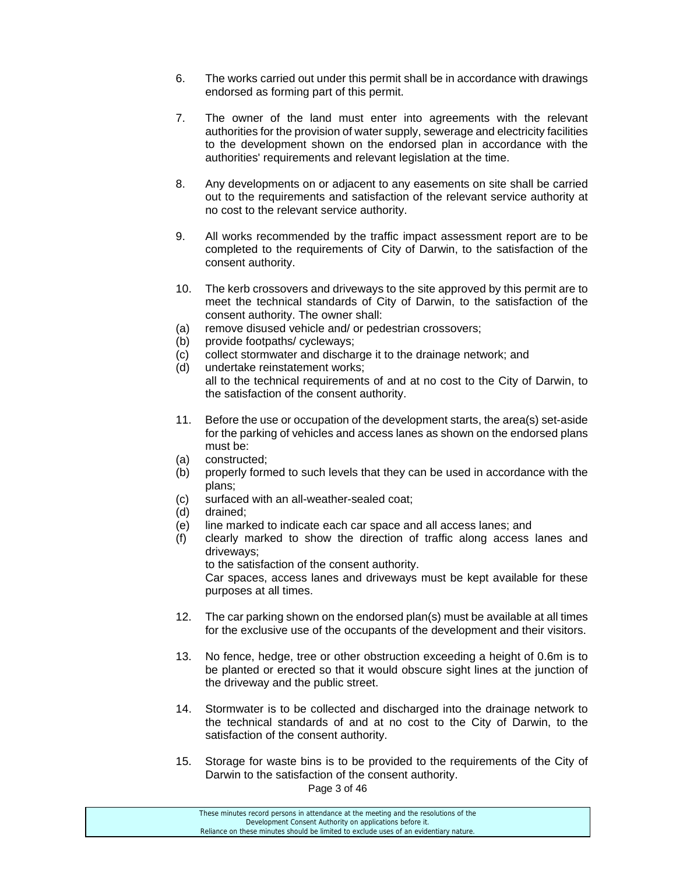- 6. The works carried out under this permit shall be in accordance with drawings endorsed as forming part of this permit.
- 7. The owner of the land must enter into agreements with the relevant authorities for the provision of water supply, sewerage and electricity facilities to the development shown on the endorsed plan in accordance with the authorities' requirements and relevant legislation at the time.
- 8. Any developments on or adjacent to any easements on site shall be carried out to the requirements and satisfaction of the relevant service authority at no cost to the relevant service authority.
- 9. All works recommended by the traffic impact assessment report are to be completed to the requirements of City of Darwin, to the satisfaction of the consent authority.
- 10. The kerb crossovers and driveways to the site approved by this permit are to meet the technical standards of City of Darwin, to the satisfaction of the consent authority. The owner shall:
- (a) remove disused vehicle and/ or pedestrian crossovers;
- (b) provide footpaths/ cycleways;
- (c) collect stormwater and discharge it to the drainage network; and
- (d) undertake reinstatement works; all to the technical requirements of and at no cost to the City of Darwin, to the satisfaction of the consent authority.
- 11. Before the use or occupation of the development starts, the area(s) set-aside for the parking of vehicles and access lanes as shown on the endorsed plans must be:
- (a) constructed;
- (b) properly formed to such levels that they can be used in accordance with the plans;
- (c) surfaced with an all-weather-sealed coat;
- (d) drained;
- (e) line marked to indicate each car space and all access lanes; and
- (f) clearly marked to show the direction of traffic along access lanes and driveways;

to the satisfaction of the consent authority.

 Car spaces, access lanes and driveways must be kept available for these purposes at all times.

- 12. The car parking shown on the endorsed plan(s) must be available at all times for the exclusive use of the occupants of the development and their visitors.
- 13. No fence, hedge, tree or other obstruction exceeding a height of 0.6m is to be planted or erected so that it would obscure sight lines at the junction of the driveway and the public street.
- 14. Stormwater is to be collected and discharged into the drainage network to the technical standards of and at no cost to the City of Darwin, to the satisfaction of the consent authority.
- 15. Storage for waste bins is to be provided to the requirements of the City of Darwin to the satisfaction of the consent authority.

Page 3 of 46

| These minutes record persons in attendance at the meeting and the resolutions of the  |  |
|---------------------------------------------------------------------------------------|--|
| Development Consent Authority on applications before it.                              |  |
| Reliance on these minutes should be limited to exclude uses of an evidentiary nature. |  |
|                                                                                       |  |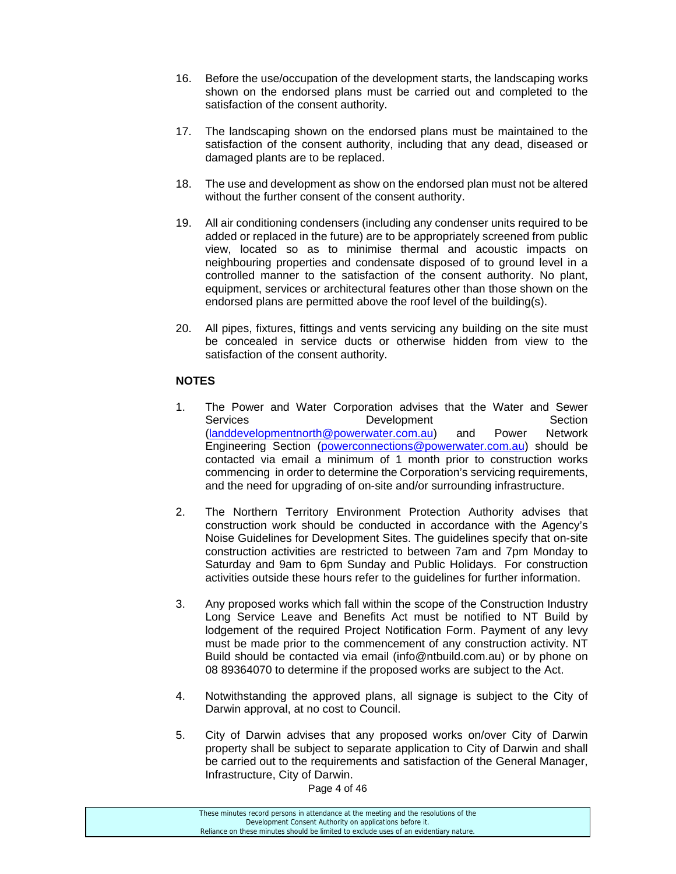- 16. Before the use/occupation of the development starts, the landscaping works shown on the endorsed plans must be carried out and completed to the satisfaction of the consent authority.
- 17. The landscaping shown on the endorsed plans must be maintained to the satisfaction of the consent authority, including that any dead, diseased or damaged plants are to be replaced.
- 18. The use and development as show on the endorsed plan must not be altered without the further consent of the consent authority.
- 19. All air conditioning condensers (including any condenser units required to be added or replaced in the future) are to be appropriately screened from public view, located so as to minimise thermal and acoustic impacts on neighbouring properties and condensate disposed of to ground level in a controlled manner to the satisfaction of the consent authority. No plant, equipment, services or architectural features other than those shown on the endorsed plans are permitted above the roof level of the building(s).
- 20. All pipes, fixtures, fittings and vents servicing any building on the site must be concealed in service ducts or otherwise hidden from view to the satisfaction of the consent authority.

# **NOTES**

- 1. The Power and Water Corporation advises that the Water and Sewer Services Development Section (landdevelopmentnorth@powerwater.com.au) and Power Network Engineering Section (powerconnections@powerwater.com.au) should be contacted via email a minimum of 1 month prior to construction works commencing in order to determine the Corporation's servicing requirements, and the need for upgrading of on-site and/or surrounding infrastructure.
- 2. The Northern Territory Environment Protection Authority advises that construction work should be conducted in accordance with the Agency's Noise Guidelines for Development Sites. The guidelines specify that on-site construction activities are restricted to between 7am and 7pm Monday to Saturday and 9am to 6pm Sunday and Public Holidays. For construction activities outside these hours refer to the guidelines for further information.
- 3. Any proposed works which fall within the scope of the Construction Industry Long Service Leave and Benefits Act must be notified to NT Build by lodgement of the required Project Notification Form. Payment of any levy must be made prior to the commencement of any construction activity. NT Build should be contacted via email (info@ntbuild.com.au) or by phone on 08 89364070 to determine if the proposed works are subject to the Act.
- 4. Notwithstanding the approved plans, all signage is subject to the City of Darwin approval, at no cost to Council.
- 5. City of Darwin advises that any proposed works on/over City of Darwin property shall be subject to separate application to City of Darwin and shall be carried out to the requirements and satisfaction of the General Manager, Infrastructure, City of Darwin.

Page 4 of 46

| These minutes record persons in attendance at the meeting and the resolutions of the  |  |
|---------------------------------------------------------------------------------------|--|
| Development Consent Authority on applications before it.                              |  |
| Reliance on these minutes should be limited to exclude uses of an evidentiary nature. |  |
|                                                                                       |  |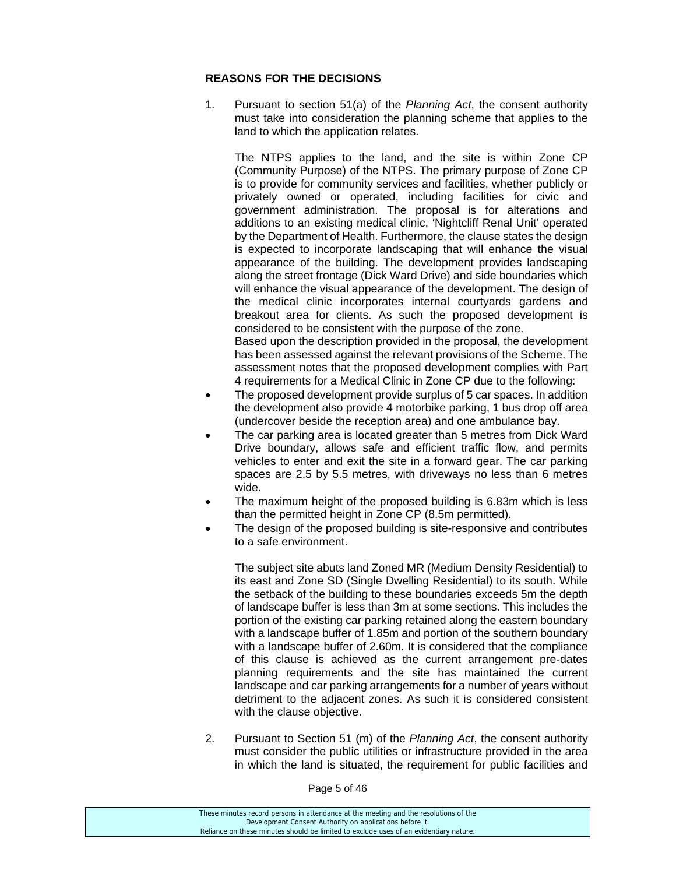# **REASONS FOR THE DECISIONS**

1. Pursuant to section 51(a) of the *Planning Act*, the consent authority must take into consideration the planning scheme that applies to the land to which the application relates.

 The NTPS applies to the land, and the site is within Zone CP (Community Purpose) of the NTPS. The primary purpose of Zone CP is to provide for community services and facilities, whether publicly or privately owned or operated, including facilities for civic and government administration. The proposal is for alterations and additions to an existing medical clinic, 'Nightcliff Renal Unit' operated by the Department of Health. Furthermore, the clause states the design is expected to incorporate landscaping that will enhance the visual appearance of the building. The development provides landscaping along the street frontage (Dick Ward Drive) and side boundaries which will enhance the visual appearance of the development. The design of the medical clinic incorporates internal courtyards gardens and breakout area for clients. As such the proposed development is considered to be consistent with the purpose of the zone. Based upon the description provided in the proposal, the development has been assessed against the relevant provisions of the Scheme. The assessment notes that the proposed development complies with Part 4 requirements for a Medical Clinic in Zone CP due to the following:

- The proposed development provide surplus of 5 car spaces. In addition the development also provide 4 motorbike parking, 1 bus drop off area (undercover beside the reception area) and one ambulance bay.
- The car parking area is located greater than 5 metres from Dick Ward Drive boundary, allows safe and efficient traffic flow, and permits vehicles to enter and exit the site in a forward gear. The car parking spaces are 2.5 by 5.5 metres, with driveways no less than 6 metres wide.
- The maximum height of the proposed building is 6.83m which is less than the permitted height in Zone CP (8.5m permitted).
- The design of the proposed building is site-responsive and contributes to a safe environment.

 The subject site abuts land Zoned MR (Medium Density Residential) to its east and Zone SD (Single Dwelling Residential) to its south. While the setback of the building to these boundaries exceeds 5m the depth of landscape buffer is less than 3m at some sections. This includes the portion of the existing car parking retained along the eastern boundary with a landscape buffer of 1.85m and portion of the southern boundary with a landscape buffer of 2.60m. It is considered that the compliance of this clause is achieved as the current arrangement pre-dates planning requirements and the site has maintained the current landscape and car parking arrangements for a number of years without detriment to the adjacent zones. As such it is considered consistent with the clause objective.

2. Pursuant to Section 51 (m) of the *Planning Act*, the consent authority must consider the public utilities or infrastructure provided in the area in which the land is situated, the requirement for public facilities and

Page 5 of 46

| These minutes record persons in attendance at the meeting and the resolutions of the  |
|---------------------------------------------------------------------------------------|
| Development Consent Authority on applications before it.                              |
| Reliance on these minutes should be limited to exclude uses of an evidentiary nature. |
|                                                                                       |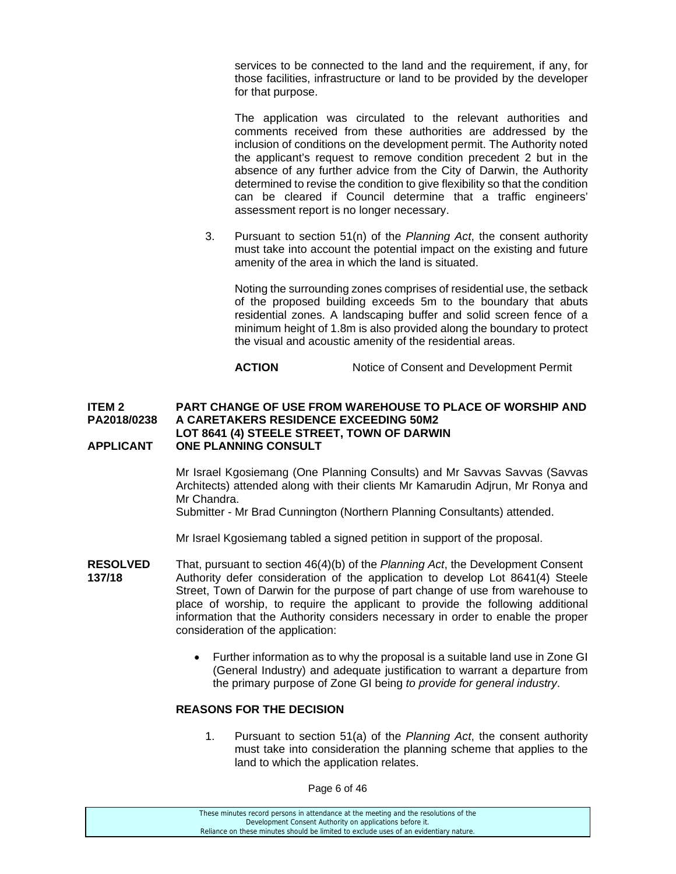services to be connected to the land and the requirement, if any, for those facilities, infrastructure or land to be provided by the developer for that purpose.

 The application was circulated to the relevant authorities and comments received from these authorities are addressed by the inclusion of conditions on the development permit. The Authority noted the applicant's request to remove condition precedent 2 but in the absence of any further advice from the City of Darwin, the Authority determined to revise the condition to give flexibility so that the condition can be cleared if Council determine that a traffic engineers' assessment report is no longer necessary.

3. Pursuant to section 51(n) of the *Planning Act*, the consent authority must take into account the potential impact on the existing and future amenity of the area in which the land is situated.

 Noting the surrounding zones comprises of residential use, the setback of the proposed building exceeds 5m to the boundary that abuts residential zones. A landscaping buffer and solid screen fence of a minimum height of 1.8m is also provided along the boundary to protect the visual and acoustic amenity of the residential areas.

**ACTION** Notice of Consent and Development Permit

#### **ITEM 2 PART CHANGE OF USE FROM WAREHOUSE TO PLACE OF WORSHIP AND PA2018/0238 A CARETAKERS RESIDENCE EXCEEDING 50M2 LOT 8641 (4) STEELE STREET, TOWN OF DARWIN APPLICANT ONE PLANNING CONSULT**

Mr Israel Kgosiemang (One Planning Consults) and Mr Savvas Savvas (Savvas Architects) attended along with their clients Mr Kamarudin Adjrun, Mr Ronya and Mr Chandra.

Submitter - Mr Brad Cunnington (Northern Planning Consultants) attended.

Mr Israel Kgosiemang tabled a signed petition in support of the proposal.

- **RESOLVED** That, pursuant to section 46(4)(b) of the *Planning Act*, the Development Consent **137/18** • Authority defer consideration of the application to develop Lot 8641(4) Steele Street, Town of Darwin for the purpose of part change of use from warehouse to place of worship, to require the applicant to provide the following additional information that the Authority considers necessary in order to enable the proper consideration of the application:
	- Further information as to why the proposal is a suitable land use in Zone GI (General Industry) and adequate justification to warrant a departure from the primary purpose of Zone GI being *to provide for general industry*.

#### **REASONS FOR THE DECISION**

1. Pursuant to section 51(a) of the *Planning Act*, the consent authority must take into consideration the planning scheme that applies to the land to which the application relates.

Page 6 of 46

These minutes record persons in attendance at the meeting and the resolutions of the Development Consent Authority on applications before it. Reliance on these minutes should be limited to exclude uses of an evidentiary nature.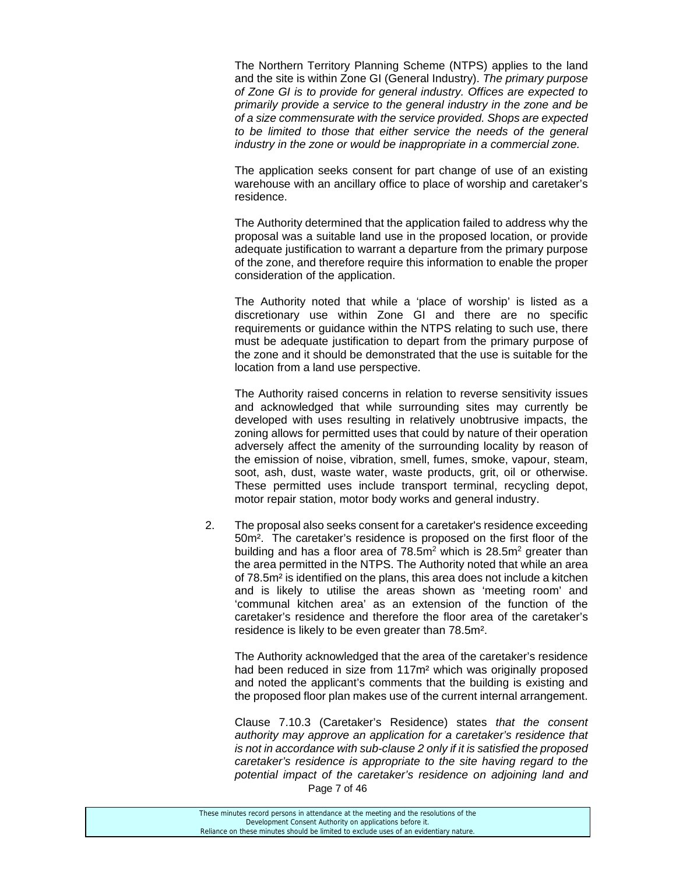The Northern Territory Planning Scheme (NTPS) applies to the land and the site is within Zone GI (General Industry). *The primary purpose of Zone GI is to provide for general industry. Offices are expected to primarily provide a service to the general industry in the zone and be of a size commensurate with the service provided. Shops are expected to be limited to those that either service the needs of the general industry in the zone or would be inappropriate in a commercial zone.* 

The application seeks consent for part change of use of an existing warehouse with an ancillary office to place of worship and caretaker's residence.

The Authority determined that the application failed to address why the proposal was a suitable land use in the proposed location, or provide adequate justification to warrant a departure from the primary purpose of the zone, and therefore require this information to enable the proper consideration of the application.

The Authority noted that while a 'place of worship' is listed as a discretionary use within Zone GI and there are no specific requirements or guidance within the NTPS relating to such use, there must be adequate justification to depart from the primary purpose of the zone and it should be demonstrated that the use is suitable for the location from a land use perspective.

The Authority raised concerns in relation to reverse sensitivity issues and acknowledged that while surrounding sites may currently be developed with uses resulting in relatively unobtrusive impacts, the zoning allows for permitted uses that could by nature of their operation adversely affect the amenity of the surrounding locality by reason of the emission of noise, vibration, smell, fumes, smoke, vapour, steam, soot, ash, dust, waste water, waste products, grit, oil or otherwise. These permitted uses include transport terminal, recycling depot, motor repair station, motor body works and general industry.

2. The proposal also seeks consent for a caretaker's residence exceeding 50m². The caretaker's residence is proposed on the first floor of the building and has a floor area of 78.5m<sup>2</sup> which is 28.5m<sup>2</sup> greater than the area permitted in the NTPS. The Authority noted that while an area of 78.5m² is identified on the plans, this area does not include a kitchen and is likely to utilise the areas shown as 'meeting room' and 'communal kitchen area' as an extension of the function of the caretaker's residence and therefore the floor area of the caretaker's residence is likely to be even greater than 78.5m².

The Authority acknowledged that the area of the caretaker's residence had been reduced in size from 117m² which was originally proposed and noted the applicant's comments that the building is existing and the proposed floor plan makes use of the current internal arrangement.

Page 7 of 46 Clause 7.10.3 (Caretaker's Residence) states *that the consent authority may approve an application for a caretaker's residence that is not in accordance with sub-clause 2 only if it is satisfied the proposed caretaker's residence is appropriate to the site having regard to the potential impact of the caretaker's residence on adjoining land and*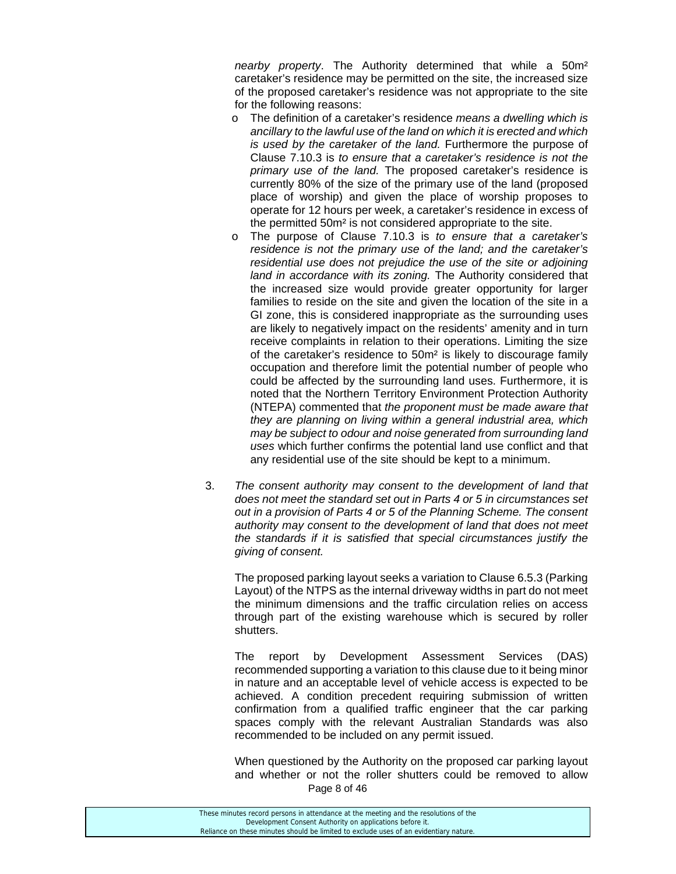*nearby property*. The Authority determined that while a 50m² caretaker's residence may be permitted on the site, the increased size of the proposed caretaker's residence was not appropriate to the site for the following reasons:

- o The definition of a caretaker's residence *means a dwelling which is ancillary to the lawful use of the land on which it is erected and which is used by the caretaker of the land.* Furthermore the purpose of Clause 7.10.3 is *to ensure that a caretaker's residence is not the primary use of the land.* The proposed caretaker's residence is currently 80% of the size of the primary use of the land (proposed place of worship) and given the place of worship proposes to operate for 12 hours per week, a caretaker's residence in excess of the permitted 50m² is not considered appropriate to the site.
- o The purpose of Clause 7.10.3 is *to ensure that a caretaker's residence is not the primary use of the land; and the caretaker's residential use does not prejudice the use of the site or adjoining land in accordance with its zoning.* The Authority considered that the increased size would provide greater opportunity for larger families to reside on the site and given the location of the site in a GI zone, this is considered inappropriate as the surrounding uses are likely to negatively impact on the residents' amenity and in turn receive complaints in relation to their operations. Limiting the size of the caretaker's residence to 50m² is likely to discourage family occupation and therefore limit the potential number of people who could be affected by the surrounding land uses. Furthermore, it is noted that the Northern Territory Environment Protection Authority (NTEPA) commented that *the proponent must be made aware that they are planning on living within a general industrial area, which may be subject to odour and noise generated from surrounding land uses* which further confirms the potential land use conflict and that any residential use of the site should be kept to a minimum.
- 3. *The consent authority may consent to the development of land that does not meet the standard set out in Parts 4 or 5 in circumstances set out in a provision of Parts 4 or 5 of the Planning Scheme. The consent authority may consent to the development of land that does not meet the standards if it is satisfied that special circumstances justify the giving of consent.*

The proposed parking layout seeks a variation to Clause 6.5.3 (Parking Layout) of the NTPS as the internal driveway widths in part do not meet the minimum dimensions and the traffic circulation relies on access through part of the existing warehouse which is secured by roller shutters.

The report by Development Assessment Services (DAS) recommended supporting a variation to this clause due to it being minor in nature and an acceptable level of vehicle access is expected to be achieved. A condition precedent requiring submission of written confirmation from a qualified traffic engineer that the car parking spaces comply with the relevant Australian Standards was also recommended to be included on any permit issued.

Page 8 of 46 When questioned by the Authority on the proposed car parking layout and whether or not the roller shutters could be removed to allow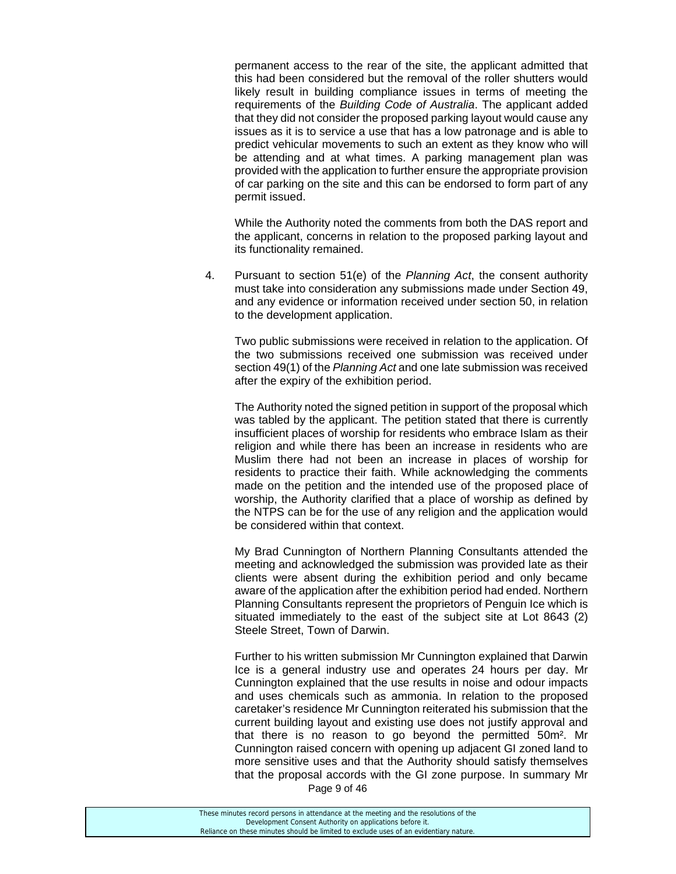permanent access to the rear of the site, the applicant admitted that this had been considered but the removal of the roller shutters would likely result in building compliance issues in terms of meeting the requirements of the *Building Code of Australia*. The applicant added that they did not consider the proposed parking layout would cause any issues as it is to service a use that has a low patronage and is able to predict vehicular movements to such an extent as they know who will be attending and at what times. A parking management plan was provided with the application to further ensure the appropriate provision of car parking on the site and this can be endorsed to form part of any permit issued.

While the Authority noted the comments from both the DAS report and the applicant, concerns in relation to the proposed parking layout and its functionality remained.

4. Pursuant to section 51(e) of the *Planning Act*, the consent authority must take into consideration any submissions made under Section 49, and any evidence or information received under section 50, in relation to the development application.

Two public submissions were received in relation to the application. Of the two submissions received one submission was received under section 49(1) of the *Planning Act* and one late submission was received after the expiry of the exhibition period.

The Authority noted the signed petition in support of the proposal which was tabled by the applicant. The petition stated that there is currently insufficient places of worship for residents who embrace Islam as their religion and while there has been an increase in residents who are Muslim there had not been an increase in places of worship for residents to practice their faith. While acknowledging the comments made on the petition and the intended use of the proposed place of worship, the Authority clarified that a place of worship as defined by the NTPS can be for the use of any religion and the application would be considered within that context.

My Brad Cunnington of Northern Planning Consultants attended the meeting and acknowledged the submission was provided late as their clients were absent during the exhibition period and only became aware of the application after the exhibition period had ended. Northern Planning Consultants represent the proprietors of Penguin Ice which is situated immediately to the east of the subject site at Lot 8643 (2) Steele Street, Town of Darwin.

Further to his written submission Mr Cunnington explained that Darwin Ice is a general industry use and operates 24 hours per day. Mr Cunnington explained that the use results in noise and odour impacts and uses chemicals such as ammonia. In relation to the proposed caretaker's residence Mr Cunnington reiterated his submission that the current building layout and existing use does not justify approval and that there is no reason to go beyond the permitted 50m². Mr Cunnington raised concern with opening up adjacent GI zoned land to more sensitive uses and that the Authority should satisfy themselves that the proposal accords with the GI zone purpose. In summary Mr

Page 9 of 46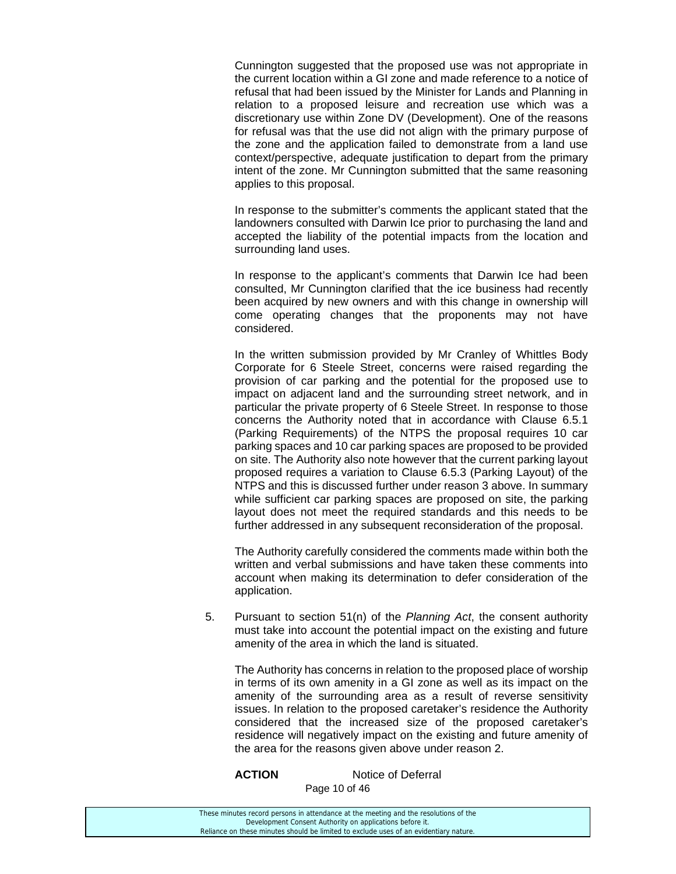Cunnington suggested that the proposed use was not appropriate in the current location within a GI zone and made reference to a notice of refusal that had been issued by the Minister for Lands and Planning in relation to a proposed leisure and recreation use which was a discretionary use within Zone DV (Development). One of the reasons for refusal was that the use did not align with the primary purpose of the zone and the application failed to demonstrate from a land use context/perspective, adequate justification to depart from the primary intent of the zone. Mr Cunnington submitted that the same reasoning applies to this proposal.

In response to the submitter's comments the applicant stated that the landowners consulted with Darwin Ice prior to purchasing the land and accepted the liability of the potential impacts from the location and surrounding land uses.

In response to the applicant's comments that Darwin Ice had been consulted, Mr Cunnington clarified that the ice business had recently been acquired by new owners and with this change in ownership will come operating changes that the proponents may not have considered.

In the written submission provided by Mr Cranley of Whittles Body Corporate for 6 Steele Street, concerns were raised regarding the provision of car parking and the potential for the proposed use to impact on adjacent land and the surrounding street network, and in particular the private property of 6 Steele Street. In response to those concerns the Authority noted that in accordance with Clause 6.5.1 (Parking Requirements) of the NTPS the proposal requires 10 car parking spaces and 10 car parking spaces are proposed to be provided on site. The Authority also note however that the current parking layout proposed requires a variation to Clause 6.5.3 (Parking Layout) of the NTPS and this is discussed further under reason 3 above. In summary while sufficient car parking spaces are proposed on site, the parking layout does not meet the required standards and this needs to be further addressed in any subsequent reconsideration of the proposal.

The Authority carefully considered the comments made within both the written and verbal submissions and have taken these comments into account when making its determination to defer consideration of the application.

5. Pursuant to section 51(n) of the *Planning Act*, the consent authority must take into account the potential impact on the existing and future amenity of the area in which the land is situated.

The Authority has concerns in relation to the proposed place of worship in terms of its own amenity in a GI zone as well as its impact on the amenity of the surrounding area as a result of reverse sensitivity issues. In relation to the proposed caretaker's residence the Authority considered that the increased size of the proposed caretaker's residence will negatively impact on the existing and future amenity of the area for the reasons given above under reason 2.

Page 10 of 46 **ACTION** Notice of Deferral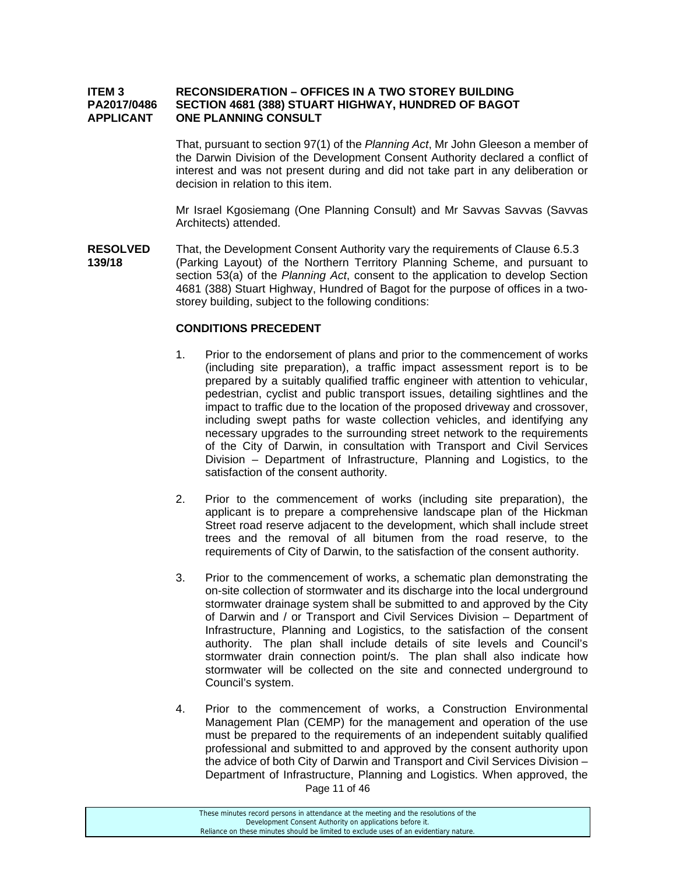#### **ITEM 3 RECONSIDERATION – OFFICES IN A TWO STOREY BUILDING PA2017/0486 SECTION 4681 (388) STUART HIGHWAY, HUNDRED OF BAGOT APPLICANT ONE PLANNING CONSULT**

That, pursuant to section 97(1) of the *Planning Act*, Mr John Gleeson a member of the Darwin Division of the Development Consent Authority declared a conflict of interest and was not present during and did not take part in any deliberation or decision in relation to this item.

Mr Israel Kgosiemang (One Planning Consult) and Mr Savvas Savvas (Savvas Architects) attended.

**RESOLVED** That, the Development Consent Authority vary the requirements of Clause 6.5.3 **139/18** (Parking Layout) of the Northern Territory Planning Scheme, and pursuant to section 53(a) of the *Planning Act*, consent to the application to develop Section 4681 (388) Stuart Highway, Hundred of Bagot for the purpose of offices in a twostorey building, subject to the following conditions:

#### **CONDITIONS PRECEDENT**

- 1. Prior to the endorsement of plans and prior to the commencement of works (including site preparation), a traffic impact assessment report is to be prepared by a suitably qualified traffic engineer with attention to vehicular, pedestrian, cyclist and public transport issues, detailing sightlines and the impact to traffic due to the location of the proposed driveway and crossover, including swept paths for waste collection vehicles, and identifying any necessary upgrades to the surrounding street network to the requirements of the City of Darwin, in consultation with Transport and Civil Services Division – Department of Infrastructure, Planning and Logistics, to the satisfaction of the consent authority.
- 2. Prior to the commencement of works (including site preparation), the applicant is to prepare a comprehensive landscape plan of the Hickman Street road reserve adjacent to the development, which shall include street trees and the removal of all bitumen from the road reserve, to the requirements of City of Darwin, to the satisfaction of the consent authority.
- 3. Prior to the commencement of works, a schematic plan demonstrating the on-site collection of stormwater and its discharge into the local underground stormwater drainage system shall be submitted to and approved by the City of Darwin and / or Transport and Civil Services Division – Department of Infrastructure, Planning and Logistics, to the satisfaction of the consent authority. The plan shall include details of site levels and Council's stormwater drain connection point/s. The plan shall also indicate how stormwater will be collected on the site and connected underground to Council's system.
- 4. Prior to the commencement of works, a Construction Environmental Management Plan (CEMP) for the management and operation of the use must be prepared to the requirements of an independent suitably qualified professional and submitted to and approved by the consent authority upon the advice of both City of Darwin and Transport and Civil Services Division – Department of Infrastructure, Planning and Logistics. When approved, the

Page 11 of 46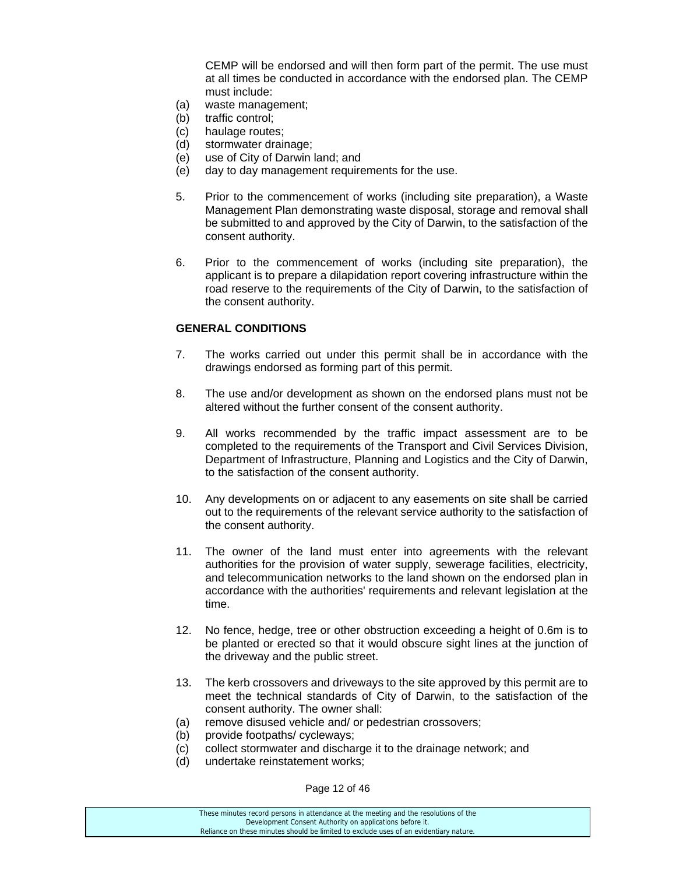CEMP will be endorsed and will then form part of the permit. The use must at all times be conducted in accordance with the endorsed plan. The CEMP must include:

- (a) waste management;
- (b) traffic control;
- (c) haulage routes;
- (d) stormwater drainage;
- (e) use of City of Darwin land; and
- (e) day to day management requirements for the use.
- 5. Prior to the commencement of works (including site preparation), a Waste Management Plan demonstrating waste disposal, storage and removal shall be submitted to and approved by the City of Darwin, to the satisfaction of the consent authority.
- 6. Prior to the commencement of works (including site preparation), the applicant is to prepare a dilapidation report covering infrastructure within the road reserve to the requirements of the City of Darwin, to the satisfaction of the consent authority.

# **GENERAL CONDITIONS**

- 7. The works carried out under this permit shall be in accordance with the drawings endorsed as forming part of this permit.
- 8. The use and/or development as shown on the endorsed plans must not be altered without the further consent of the consent authority.
- 9. All works recommended by the traffic impact assessment are to be completed to the requirements of the Transport and Civil Services Division, Department of Infrastructure, Planning and Logistics and the City of Darwin, to the satisfaction of the consent authority.
- 10. Any developments on or adjacent to any easements on site shall be carried out to the requirements of the relevant service authority to the satisfaction of the consent authority.
- 11. The owner of the land must enter into agreements with the relevant authorities for the provision of water supply, sewerage facilities, electricity, and telecommunication networks to the land shown on the endorsed plan in accordance with the authorities' requirements and relevant legislation at the time.
- 12. No fence, hedge, tree or other obstruction exceeding a height of 0.6m is to be planted or erected so that it would obscure sight lines at the junction of the driveway and the public street.
- 13. The kerb crossovers and driveways to the site approved by this permit are to meet the technical standards of City of Darwin, to the satisfaction of the consent authority. The owner shall:
- (a) remove disused vehicle and/ or pedestrian crossovers;
- (b) provide footpaths/ cycleways;
- (c) collect stormwater and discharge it to the drainage network; and
- (d) undertake reinstatement works;

Page 12 of 46

These minutes record persons in attendance at the meeting and the resolutions of the Development Consent Authority on applications before it. Reliance on these minutes should be limited to exclude uses of an evidentiary nature.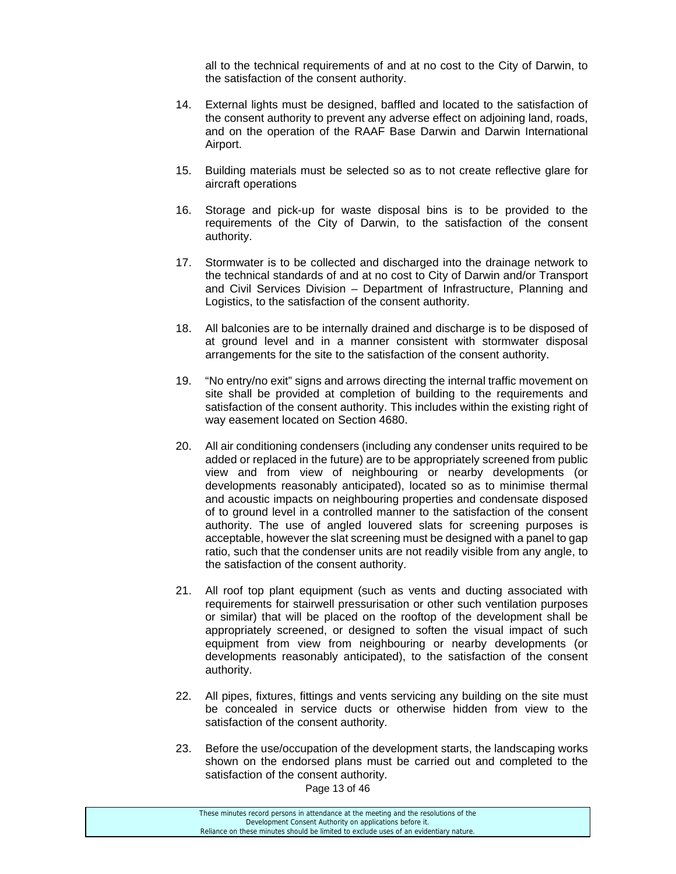all to the technical requirements of and at no cost to the City of Darwin, to the satisfaction of the consent authority.

- 14. External lights must be designed, baffled and located to the satisfaction of the consent authority to prevent any adverse effect on adjoining land, roads, and on the operation of the RAAF Base Darwin and Darwin International Airport.
- 15. Building materials must be selected so as to not create reflective glare for aircraft operations
- 16. Storage and pick-up for waste disposal bins is to be provided to the requirements of the City of Darwin, to the satisfaction of the consent authority.
- 17. Stormwater is to be collected and discharged into the drainage network to the technical standards of and at no cost to City of Darwin and/or Transport and Civil Services Division – Department of Infrastructure, Planning and Logistics, to the satisfaction of the consent authority.
- 18. All balconies are to be internally drained and discharge is to be disposed of at ground level and in a manner consistent with stormwater disposal arrangements for the site to the satisfaction of the consent authority.
- 19. "No entry/no exit" signs and arrows directing the internal traffic movement on site shall be provided at completion of building to the requirements and satisfaction of the consent authority. This includes within the existing right of way easement located on Section 4680.
- 20. All air conditioning condensers (including any condenser units required to be added or replaced in the future) are to be appropriately screened from public view and from view of neighbouring or nearby developments (or developments reasonably anticipated), located so as to minimise thermal and acoustic impacts on neighbouring properties and condensate disposed of to ground level in a controlled manner to the satisfaction of the consent authority. The use of angled louvered slats for screening purposes is acceptable, however the slat screening must be designed with a panel to gap ratio, such that the condenser units are not readily visible from any angle, to the satisfaction of the consent authority.
- 21. All roof top plant equipment (such as vents and ducting associated with requirements for stairwell pressurisation or other such ventilation purposes or similar) that will be placed on the rooftop of the development shall be appropriately screened, or designed to soften the visual impact of such equipment from view from neighbouring or nearby developments (or developments reasonably anticipated), to the satisfaction of the consent authority.
- 22. All pipes, fixtures, fittings and vents servicing any building on the site must be concealed in service ducts or otherwise hidden from view to the satisfaction of the consent authority.
- 23. Before the use/occupation of the development starts, the landscaping works shown on the endorsed plans must be carried out and completed to the satisfaction of the consent authority.

Page 13 of 46

| These minutes record persons in attendance at the meeting and the resolutions of the  |
|---------------------------------------------------------------------------------------|
| Development Consent Authority on applications before it.                              |
| Reliance on these minutes should be limited to exclude uses of an evidentiary nature. |
|                                                                                       |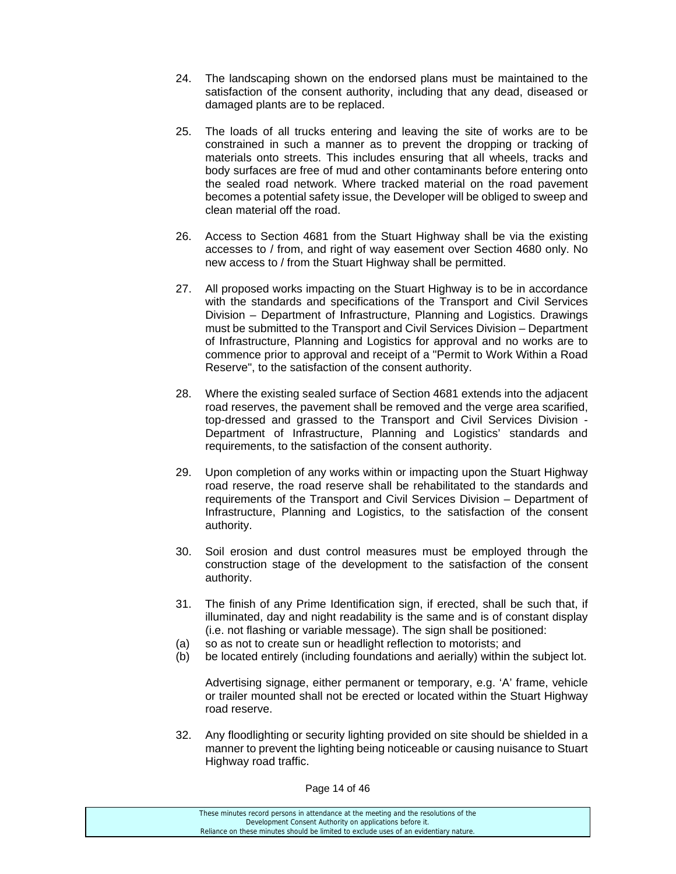- 24. The landscaping shown on the endorsed plans must be maintained to the satisfaction of the consent authority, including that any dead, diseased or damaged plants are to be replaced.
- 25. The loads of all trucks entering and leaving the site of works are to be constrained in such a manner as to prevent the dropping or tracking of materials onto streets. This includes ensuring that all wheels, tracks and body surfaces are free of mud and other contaminants before entering onto the sealed road network. Where tracked material on the road pavement becomes a potential safety issue, the Developer will be obliged to sweep and clean material off the road.
- 26. Access to Section 4681 from the Stuart Highway shall be via the existing accesses to / from, and right of way easement over Section 4680 only. No new access to / from the Stuart Highway shall be permitted.
- 27. All proposed works impacting on the Stuart Highway is to be in accordance with the standards and specifications of the Transport and Civil Services Division – Department of Infrastructure, Planning and Logistics. Drawings must be submitted to the Transport and Civil Services Division – Department of Infrastructure, Planning and Logistics for approval and no works are to commence prior to approval and receipt of a "Permit to Work Within a Road Reserve", to the satisfaction of the consent authority.
- 28. Where the existing sealed surface of Section 4681 extends into the adjacent road reserves, the pavement shall be removed and the verge area scarified, top-dressed and grassed to the Transport and Civil Services Division - Department of Infrastructure, Planning and Logistics' standards and requirements, to the satisfaction of the consent authority.
- 29. Upon completion of any works within or impacting upon the Stuart Highway road reserve, the road reserve shall be rehabilitated to the standards and requirements of the Transport and Civil Services Division – Department of Infrastructure, Planning and Logistics, to the satisfaction of the consent authority.
- 30. Soil erosion and dust control measures must be employed through the construction stage of the development to the satisfaction of the consent authority.
- 31. The finish of any Prime Identification sign, if erected, shall be such that, if illuminated, day and night readability is the same and is of constant display (i.e. not flashing or variable message). The sign shall be positioned:
- (a) so as not to create sun or headlight reflection to motorists; and
- (b) be located entirely (including foundations and aerially) within the subject lot.

 Advertising signage, either permanent or temporary, e.g. 'A' frame, vehicle or trailer mounted shall not be erected or located within the Stuart Highway road reserve.

32. Any floodlighting or security lighting provided on site should be shielded in a manner to prevent the lighting being noticeable or causing nuisance to Stuart Highway road traffic.

Page 14 of 46

These minutes record persons in attendance at the meeting and the resolutions of the Development Consent Authority on applications before it. Reliance on these minutes should be limited to exclude uses of an evidentiary nature.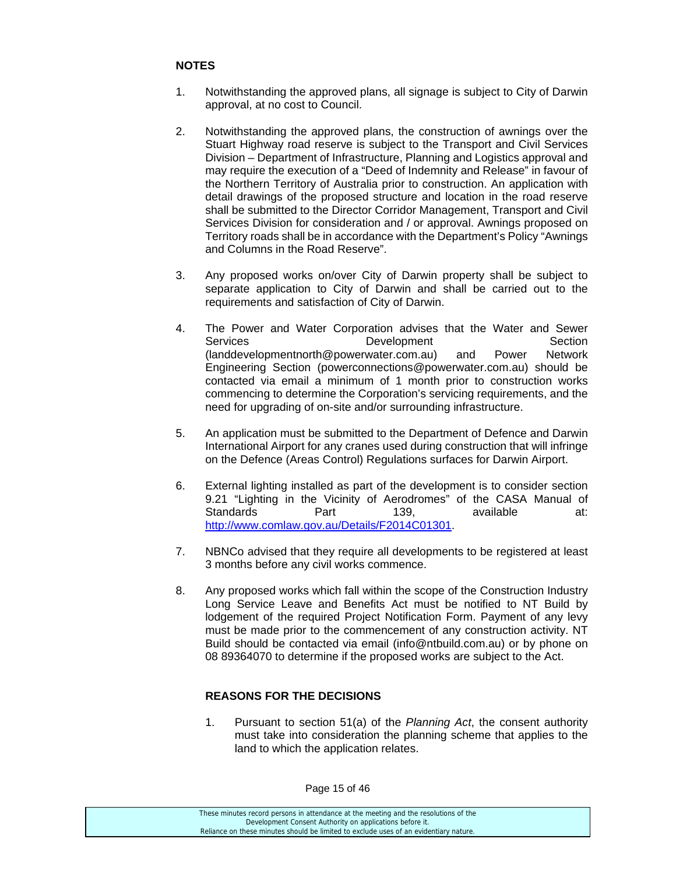# **NOTES**

- 1. Notwithstanding the approved plans, all signage is subject to City of Darwin approval, at no cost to Council.
- 2. Notwithstanding the approved plans, the construction of awnings over the Stuart Highway road reserve is subject to the Transport and Civil Services Division – Department of Infrastructure, Planning and Logistics approval and may require the execution of a "Deed of Indemnity and Release" in favour of the Northern Territory of Australia prior to construction. An application with detail drawings of the proposed structure and location in the road reserve shall be submitted to the Director Corridor Management, Transport and Civil Services Division for consideration and / or approval. Awnings proposed on Territory roads shall be in accordance with the Department's Policy "Awnings and Columns in the Road Reserve".
- 3. Any proposed works on/over City of Darwin property shall be subject to separate application to City of Darwin and shall be carried out to the requirements and satisfaction of City of Darwin.
- 4. The Power and Water Corporation advises that the Water and Sewer Services **Development** Development Section (landdevelopmentnorth@powerwater.com.au) and Power Network Engineering Section (powerconnections@powerwater.com.au) should be contacted via email a minimum of 1 month prior to construction works commencing to determine the Corporation's servicing requirements, and the need for upgrading of on-site and/or surrounding infrastructure.
- 5. An application must be submitted to the Department of Defence and Darwin International Airport for any cranes used during construction that will infringe on the Defence (Areas Control) Regulations surfaces for Darwin Airport.
- 6. External lighting installed as part of the development is to consider section 9.21 "Lighting in the Vicinity of Aerodromes" of the CASA Manual of Standards **Part** 139, available at: http://www.comlaw.gov.au/Details/F2014C01301.
- 7. NBNCo advised that they require all developments to be registered at least 3 months before any civil works commence.
- 8. Any proposed works which fall within the scope of the Construction Industry Long Service Leave and Benefits Act must be notified to NT Build by lodgement of the required Project Notification Form. Payment of any levy must be made prior to the commencement of any construction activity. NT Build should be contacted via email (info@ntbuild.com.au) or by phone on 08 89364070 to determine if the proposed works are subject to the Act.

# **REASONS FOR THE DECISIONS**

1. Pursuant to section 51(a) of the *Planning Act*, the consent authority must take into consideration the planning scheme that applies to the land to which the application relates.

Page 15 of 46

| These minutes record persons in attendance at the meeting and the resolutions of the  |
|---------------------------------------------------------------------------------------|
| Development Consent Authority on applications before it.                              |
| Reliance on these minutes should be limited to exclude uses of an evidentiary nature. |
|                                                                                       |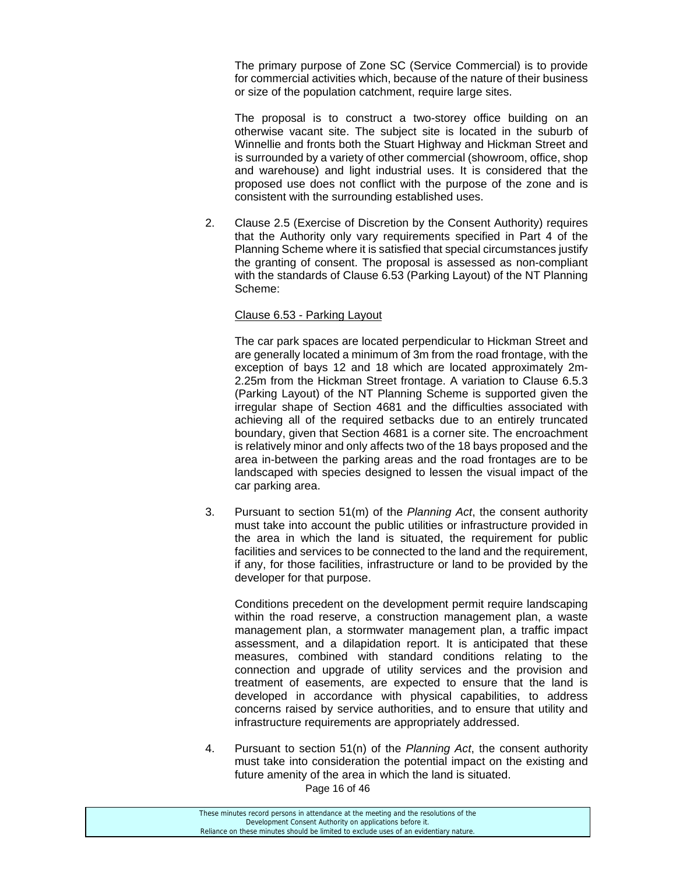The primary purpose of Zone SC (Service Commercial) is to provide for commercial activities which, because of the nature of their business or size of the population catchment, require large sites.

 The proposal is to construct a two-storey office building on an otherwise vacant site. The subject site is located in the suburb of Winnellie and fronts both the Stuart Highway and Hickman Street and is surrounded by a variety of other commercial (showroom, office, shop and warehouse) and light industrial uses. It is considered that the proposed use does not conflict with the purpose of the zone and is consistent with the surrounding established uses.

2. Clause 2.5 (Exercise of Discretion by the Consent Authority) requires that the Authority only vary requirements specified in Part 4 of the Planning Scheme where it is satisfied that special circumstances justify the granting of consent. The proposal is assessed as non-compliant with the standards of Clause 6.53 (Parking Layout) of the NT Planning Scheme:

#### Clause 6.53 - Parking Layout

 The car park spaces are located perpendicular to Hickman Street and are generally located a minimum of 3m from the road frontage, with the exception of bays 12 and 18 which are located approximately 2m-2.25m from the Hickman Street frontage. A variation to Clause 6.5.3 (Parking Layout) of the NT Planning Scheme is supported given the irregular shape of Section 4681 and the difficulties associated with achieving all of the required setbacks due to an entirely truncated boundary, given that Section 4681 is a corner site. The encroachment is relatively minor and only affects two of the 18 bays proposed and the area in-between the parking areas and the road frontages are to be landscaped with species designed to lessen the visual impact of the car parking area.

3. Pursuant to section 51(m) of the *Planning Act*, the consent authority must take into account the public utilities or infrastructure provided in the area in which the land is situated, the requirement for public facilities and services to be connected to the land and the requirement, if any, for those facilities, infrastructure or land to be provided by the developer for that purpose.

Conditions precedent on the development permit require landscaping within the road reserve, a construction management plan, a waste management plan, a stormwater management plan, a traffic impact assessment, and a dilapidation report. It is anticipated that these measures, combined with standard conditions relating to the connection and upgrade of utility services and the provision and treatment of easements, are expected to ensure that the land is developed in accordance with physical capabilities, to address concerns raised by service authorities, and to ensure that utility and infrastructure requirements are appropriately addressed.

4. Pursuant to section 51(n) of the *Planning Act*, the consent authority must take into consideration the potential impact on the existing and future amenity of the area in which the land is situated.

Page 16 of 46

| These minutes record persons in attendance at the meeting and the resolutions of the  |
|---------------------------------------------------------------------------------------|
| Development Consent Authority on applications before it.                              |
| Reliance on these minutes should be limited to exclude uses of an evidentiary nature. |
|                                                                                       |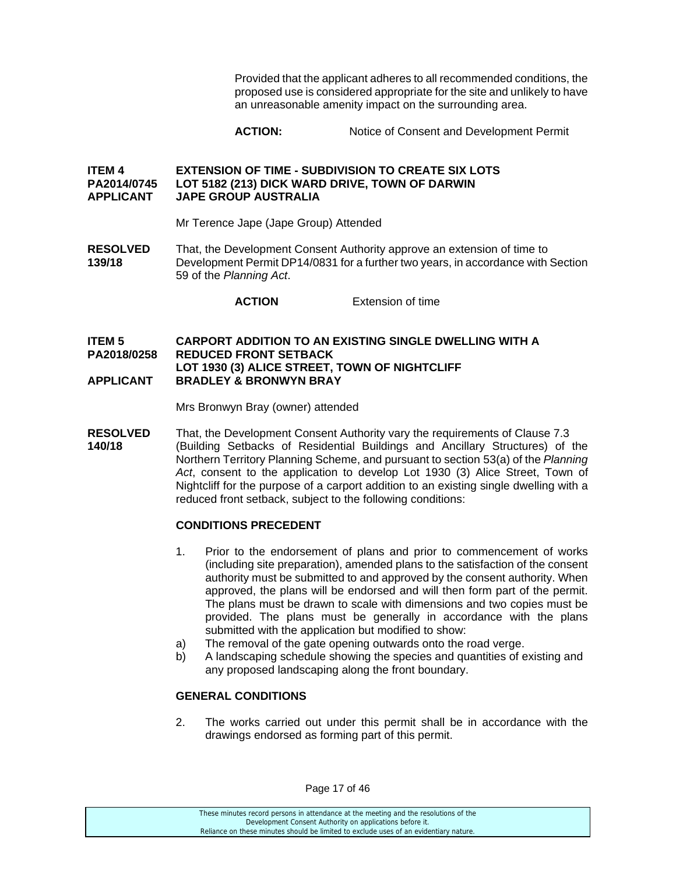Provided that the applicant adheres to all recommended conditions, the proposed use is considered appropriate for the site and unlikely to have an unreasonable amenity impact on the surrounding area.

# **ACTION:** Notice of Consent and Development Permit

#### **ITEM 4 EXTENSION OF TIME - SUBDIVISION TO CREATE SIX LOTS PA2014/0745 LOT 5182 (213) DICK WARD DRIVE, TOWN OF DARWIN APPLICANT JAPE GROUP AUSTRALIA**

Mr Terence Jape (Jape Group) Attended

**RESOLVED** That, the Development Consent Authority approve an extension of time to **139/18** Development Permit DP14/0831 for a further two years, in accordance with Section 59 of the *Planning Act*.

**ACTION** Extension of time

#### **ITEM 5 CARPORT ADDITION TO AN EXISTING SINGLE DWELLING WITH A PA2018/0258 REDUCED FRONT SETBACK LOT 1930 (3) ALICE STREET, TOWN OF NIGHTCLIFF APPLICANT BRADLEY & BRONWYN BRAY**

Mrs Bronwyn Bray (owner) attended

**RESOLVED** That, the Development Consent Authority vary the requirements of Clause 7.3 **140/18** (Building Setbacks of Residential Buildings and Ancillary Structures) of the Northern Territory Planning Scheme, and pursuant to section 53(a) of the *Planning Act*, consent to the application to develop Lot 1930 (3) Alice Street, Town of Nightcliff for the purpose of a carport addition to an existing single dwelling with a reduced front setback, subject to the following conditions:

# **CONDITIONS PRECEDENT**

- 1. Prior to the endorsement of plans and prior to commencement of works (including site preparation), amended plans to the satisfaction of the consent authority must be submitted to and approved by the consent authority. When approved, the plans will be endorsed and will then form part of the permit. The plans must be drawn to scale with dimensions and two copies must be provided. The plans must be generally in accordance with the plans submitted with the application but modified to show:
- a) The removal of the gate opening outwards onto the road verge.
- b) A landscaping schedule showing the species and quantities of existing and any proposed landscaping along the front boundary.

# **GENERAL CONDITIONS**

2. The works carried out under this permit shall be in accordance with the drawings endorsed as forming part of this permit.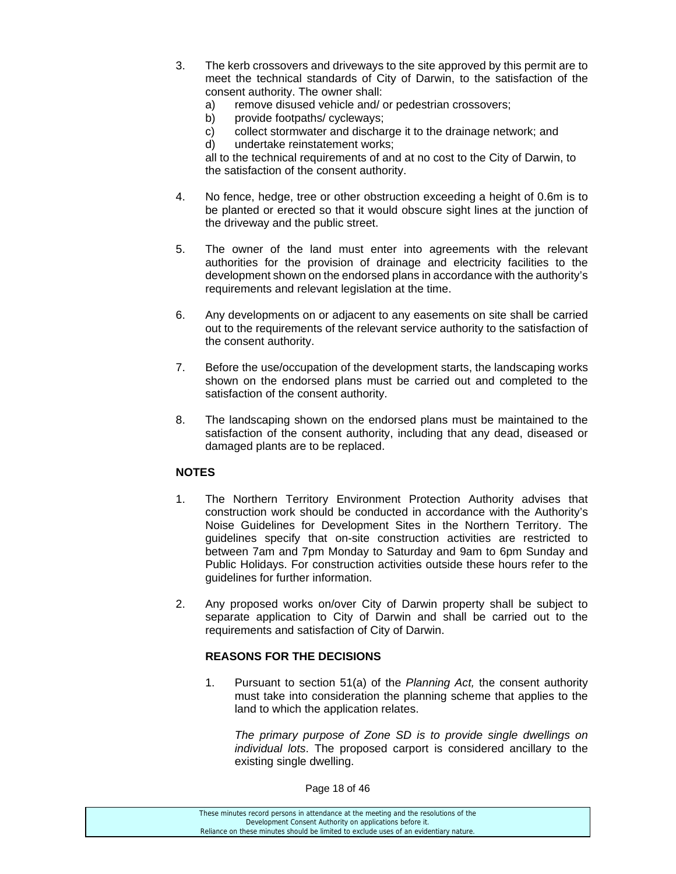- 3. The kerb crossovers and driveways to the site approved by this permit are to meet the technical standards of City of Darwin, to the satisfaction of the consent authority. The owner shall:
	- a) remove disused vehicle and/ or pedestrian crossovers;
	- b) provide footpaths/ cycleways;
	- c) collect stormwater and discharge it to the drainage network; and
	- d) undertake reinstatement works;

all to the technical requirements of and at no cost to the City of Darwin, to the satisfaction of the consent authority.

- 4. No fence, hedge, tree or other obstruction exceeding a height of 0.6m is to be planted or erected so that it would obscure sight lines at the junction of the driveway and the public street.
- 5. The owner of the land must enter into agreements with the relevant authorities for the provision of drainage and electricity facilities to the development shown on the endorsed plans in accordance with the authority's requirements and relevant legislation at the time.
- 6. Any developments on or adjacent to any easements on site shall be carried out to the requirements of the relevant service authority to the satisfaction of the consent authority.
- 7. Before the use/occupation of the development starts, the landscaping works shown on the endorsed plans must be carried out and completed to the satisfaction of the consent authority.
- 8. The landscaping shown on the endorsed plans must be maintained to the satisfaction of the consent authority, including that any dead, diseased or damaged plants are to be replaced.

# **NOTES**

- 1. The Northern Territory Environment Protection Authority advises that construction work should be conducted in accordance with the Authority's Noise Guidelines for Development Sites in the Northern Territory. The guidelines specify that on-site construction activities are restricted to between 7am and 7pm Monday to Saturday and 9am to 6pm Sunday and Public Holidays. For construction activities outside these hours refer to the guidelines for further information.
- 2. Any proposed works on/over City of Darwin property shall be subject to separate application to City of Darwin and shall be carried out to the requirements and satisfaction of City of Darwin.

# **REASONS FOR THE DECISIONS**

1. Pursuant to section 51(a) of the *Planning Act,* the consent authority must take into consideration the planning scheme that applies to the land to which the application relates.

 *The primary purpose of Zone SD is to provide single dwellings on individual lots*. The proposed carport is considered ancillary to the existing single dwelling.

Page 18 of 46

These minutes record persons in attendance at the meeting and the resolutions of the Development Consent Authority on applications before it. Reliance on these minutes should be limited to exclude uses of an evidentiary nature.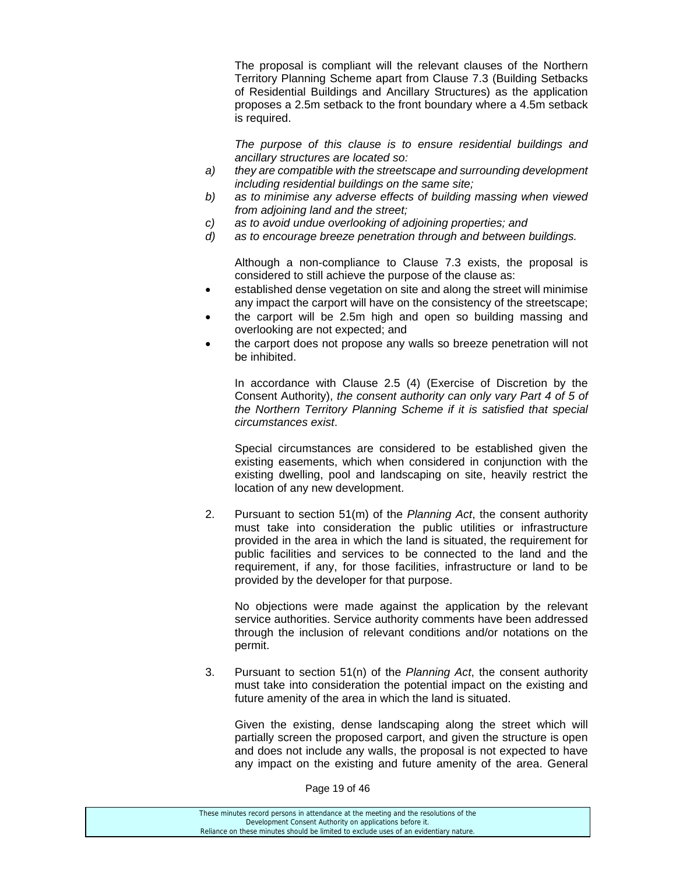The proposal is compliant will the relevant clauses of the Northern Territory Planning Scheme apart from Clause 7.3 (Building Setbacks of Residential Buildings and Ancillary Structures) as the application proposes a 2.5m setback to the front boundary where a 4.5m setback is required.

 *The purpose of this clause is to ensure residential buildings and ancillary structures are located so:* 

- *a) they are compatible with the streetscape and surrounding development including residential buildings on the same site;*
- *b) as to minimise any adverse effects of building massing when viewed from adjoining land and the street;*
- *c) as to avoid undue overlooking of adjoining properties; and*
- *d) as to encourage breeze penetration through and between buildings.*

 Although a non-compliance to Clause 7.3 exists, the proposal is considered to still achieve the purpose of the clause as:

- established dense vegetation on site and along the street will minimise any impact the carport will have on the consistency of the streetscape;
- the carport will be 2.5m high and open so building massing and overlooking are not expected; and
- the carport does not propose any walls so breeze penetration will not be inhibited.

 In accordance with Clause 2.5 (4) (Exercise of Discretion by the Consent Authority), *the consent authority can only vary Part 4 of 5 of the Northern Territory Planning Scheme if it is satisfied that special circumstances exist*.

 Special circumstances are considered to be established given the existing easements, which when considered in conjunction with the existing dwelling, pool and landscaping on site, heavily restrict the location of any new development.

2. Pursuant to section 51(m) of the *Planning Act*, the consent authority must take into consideration the public utilities or infrastructure provided in the area in which the land is situated, the requirement for public facilities and services to be connected to the land and the requirement, if any, for those facilities, infrastructure or land to be provided by the developer for that purpose.

 No objections were made against the application by the relevant service authorities. Service authority comments have been addressed through the inclusion of relevant conditions and/or notations on the permit.

3. Pursuant to section 51(n) of the *Planning Act*, the consent authority must take into consideration the potential impact on the existing and future amenity of the area in which the land is situated.

 Given the existing, dense landscaping along the street which will partially screen the proposed carport, and given the structure is open and does not include any walls, the proposal is not expected to have any impact on the existing and future amenity of the area. General

Page 19 of 46

| These minutes record persons in attendance at the meeting and the resolutions of the  |
|---------------------------------------------------------------------------------------|
| Development Consent Authority on applications before it.                              |
| Reliance on these minutes should be limited to exclude uses of an evidentiary nature. |
|                                                                                       |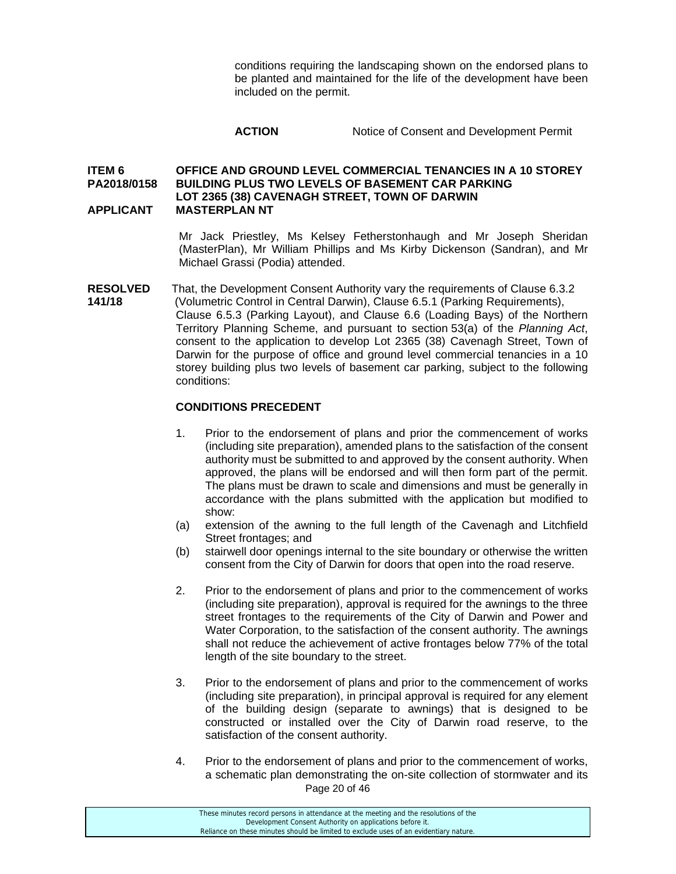conditions requiring the landscaping shown on the endorsed plans to be planted and maintained for the life of the development have been included on the permit.

# **ACTION** Notice of Consent and Development Permit

#### **ITEM 6 OFFICE AND GROUND LEVEL COMMERCIAL TENANCIES IN A 10 STOREY PA2018/0158 BUILDING PLUS TWO LEVELS OF BASEMENT CAR PARKING LOT 2365 (38) CAVENAGH STREET, TOWN OF DARWIN APPLICANT MASTERPLAN NT**

Mr Jack Priestley, Ms Kelsey Fetherstonhaugh and Mr Joseph Sheridan (MasterPlan), Mr William Phillips and Ms Kirby Dickenson (Sandran), and Mr Michael Grassi (Podia) attended.

**RESOLVED** That, the Development Consent Authority vary the requirements of Clause 6.3.2 **141/18** (Volumetric Control in Central Darwin), Clause 6.5.1 (Parking Requirements), Clause 6.5.3 (Parking Layout), and Clause 6.6 (Loading Bays) of the Northern Territory Planning Scheme, and pursuant to section 53(a) of the *Planning Act*, consent to the application to develop Lot 2365 (38) Cavenagh Street, Town of Darwin for the purpose of office and ground level commercial tenancies in a 10 storey building plus two levels of basement car parking, subject to the following conditions:

#### **CONDITIONS PRECEDENT**

- 1. Prior to the endorsement of plans and prior the commencement of works (including site preparation), amended plans to the satisfaction of the consent authority must be submitted to and approved by the consent authority. When approved, the plans will be endorsed and will then form part of the permit. The plans must be drawn to scale and dimensions and must be generally in accordance with the plans submitted with the application but modified to show:
- (a) extension of the awning to the full length of the Cavenagh and Litchfield Street frontages; and
- (b) stairwell door openings internal to the site boundary or otherwise the written consent from the City of Darwin for doors that open into the road reserve.
- 2. Prior to the endorsement of plans and prior to the commencement of works (including site preparation), approval is required for the awnings to the three street frontages to the requirements of the City of Darwin and Power and Water Corporation, to the satisfaction of the consent authority. The awnings shall not reduce the achievement of active frontages below 77% of the total length of the site boundary to the street.
- 3. Prior to the endorsement of plans and prior to the commencement of works (including site preparation), in principal approval is required for any element of the building design (separate to awnings) that is designed to be constructed or installed over the City of Darwin road reserve, to the satisfaction of the consent authority.
- Page 20 of 46 4. Prior to the endorsement of plans and prior to the commencement of works, a schematic plan demonstrating the on-site collection of stormwater and its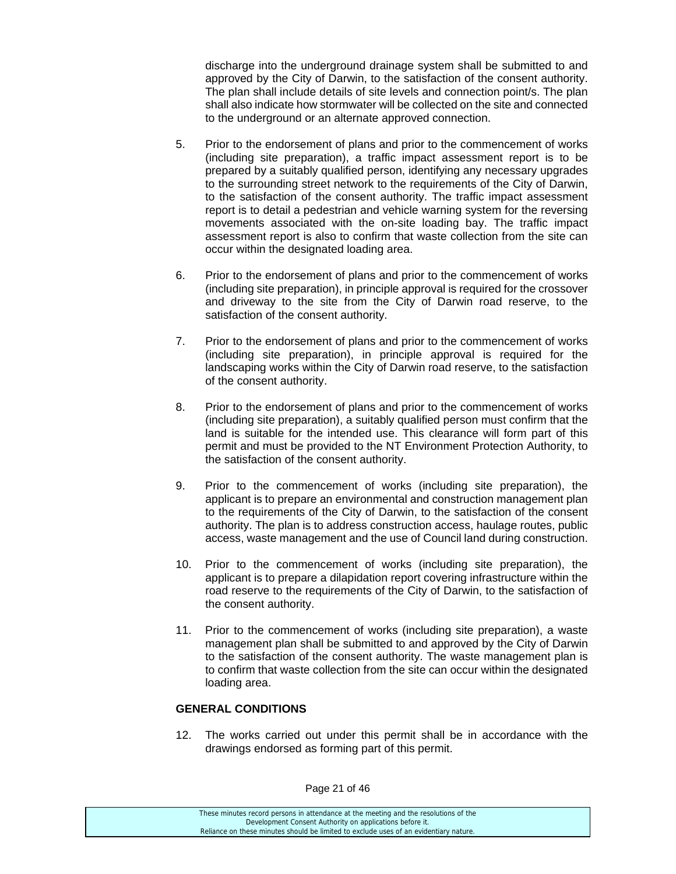discharge into the underground drainage system shall be submitted to and approved by the City of Darwin, to the satisfaction of the consent authority. The plan shall include details of site levels and connection point/s. The plan shall also indicate how stormwater will be collected on the site and connected to the underground or an alternate approved connection.

- 5. Prior to the endorsement of plans and prior to the commencement of works (including site preparation), a traffic impact assessment report is to be prepared by a suitably qualified person, identifying any necessary upgrades to the surrounding street network to the requirements of the City of Darwin, to the satisfaction of the consent authority. The traffic impact assessment report is to detail a pedestrian and vehicle warning system for the reversing movements associated with the on-site loading bay. The traffic impact assessment report is also to confirm that waste collection from the site can occur within the designated loading area.
- 6. Prior to the endorsement of plans and prior to the commencement of works (including site preparation), in principle approval is required for the crossover and driveway to the site from the City of Darwin road reserve, to the satisfaction of the consent authority.
- 7. Prior to the endorsement of plans and prior to the commencement of works (including site preparation), in principle approval is required for the landscaping works within the City of Darwin road reserve, to the satisfaction of the consent authority.
- 8. Prior to the endorsement of plans and prior to the commencement of works (including site preparation), a suitably qualified person must confirm that the land is suitable for the intended use. This clearance will form part of this permit and must be provided to the NT Environment Protection Authority, to the satisfaction of the consent authority.
- 9. Prior to the commencement of works (including site preparation), the applicant is to prepare an environmental and construction management plan to the requirements of the City of Darwin, to the satisfaction of the consent authority. The plan is to address construction access, haulage routes, public access, waste management and the use of Council land during construction.
- 10. Prior to the commencement of works (including site preparation), the applicant is to prepare a dilapidation report covering infrastructure within the road reserve to the requirements of the City of Darwin, to the satisfaction of the consent authority.
- 11. Prior to the commencement of works (including site preparation), a waste management plan shall be submitted to and approved by the City of Darwin to the satisfaction of the consent authority. The waste management plan is to confirm that waste collection from the site can occur within the designated loading area.

# **GENERAL CONDITIONS**

12. The works carried out under this permit shall be in accordance with the drawings endorsed as forming part of this permit.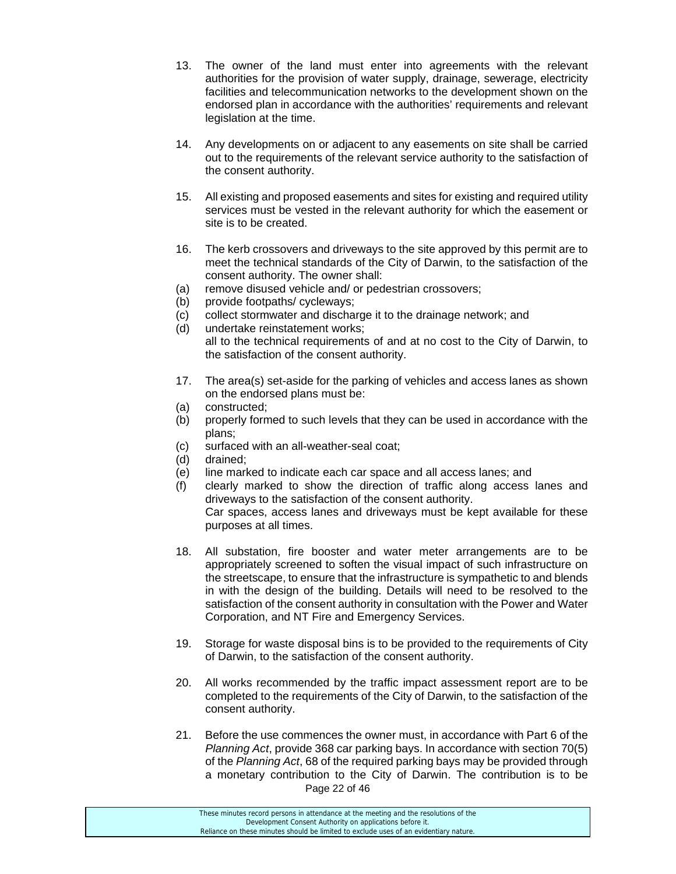- 13. The owner of the land must enter into agreements with the relevant authorities for the provision of water supply, drainage, sewerage, electricity facilities and telecommunication networks to the development shown on the endorsed plan in accordance with the authorities' requirements and relevant legislation at the time.
- 14. Any developments on or adjacent to any easements on site shall be carried out to the requirements of the relevant service authority to the satisfaction of the consent authority.
- 15. All existing and proposed easements and sites for existing and required utility services must be vested in the relevant authority for which the easement or site is to be created.
- 16. The kerb crossovers and driveways to the site approved by this permit are to meet the technical standards of the City of Darwin, to the satisfaction of the consent authority. The owner shall:
- (a) remove disused vehicle and/ or pedestrian crossovers;
- (b) provide footpaths/ cycleways;
- (c) collect stormwater and discharge it to the drainage network; and
- (d) undertake reinstatement works; all to the technical requirements of and at no cost to the City of Darwin, to the satisfaction of the consent authority.
- 17. The area(s) set-aside for the parking of vehicles and access lanes as shown on the endorsed plans must be:
- (a) constructed;
- (b) properly formed to such levels that they can be used in accordance with the plans;
- (c) surfaced with an all-weather-seal coat;
- (d) drained;
- (e) line marked to indicate each car space and all access lanes; and
- (f) clearly marked to show the direction of traffic along access lanes and driveways to the satisfaction of the consent authority. Car spaces, access lanes and driveways must be kept available for these purposes at all times.
- 18. All substation, fire booster and water meter arrangements are to be appropriately screened to soften the visual impact of such infrastructure on the streetscape, to ensure that the infrastructure is sympathetic to and blends in with the design of the building. Details will need to be resolved to the satisfaction of the consent authority in consultation with the Power and Water Corporation, and NT Fire and Emergency Services.
- 19. Storage for waste disposal bins is to be provided to the requirements of City of Darwin, to the satisfaction of the consent authority.
- 20. All works recommended by the traffic impact assessment report are to be completed to the requirements of the City of Darwin, to the satisfaction of the consent authority.
- Page 22 of 46 21. Before the use commences the owner must, in accordance with Part 6 of the *Planning Act*, provide 368 car parking bays. In accordance with section 70(5) of the *Planning Act*, 68 of the required parking bays may be provided through a monetary contribution to the City of Darwin. The contribution is to be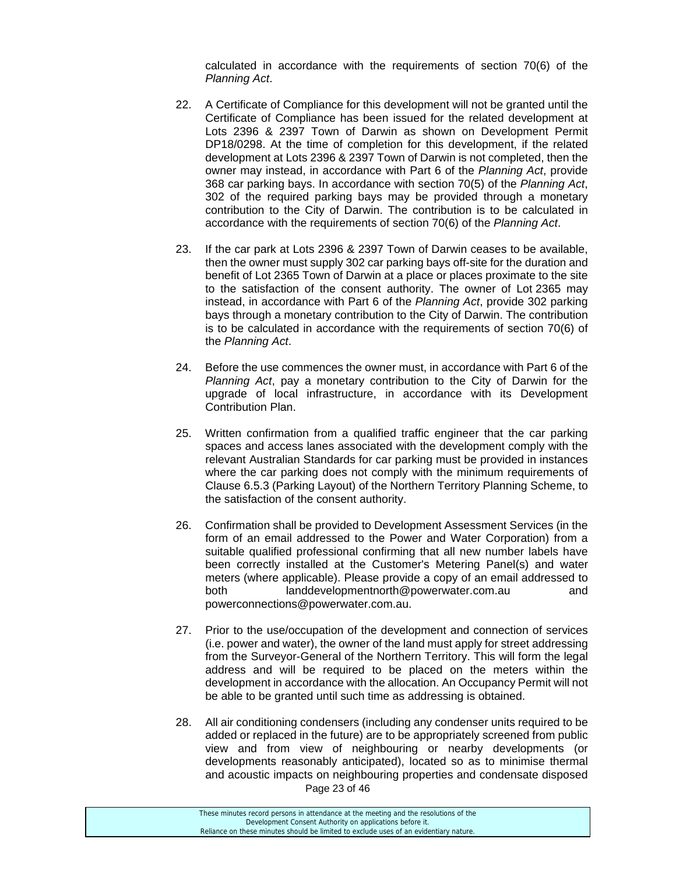calculated in accordance with the requirements of section 70(6) of the *Planning Act*.

- 22. A Certificate of Compliance for this development will not be granted until the Certificate of Compliance has been issued for the related development at Lots 2396 & 2397 Town of Darwin as shown on Development Permit DP18/0298. At the time of completion for this development, if the related development at Lots 2396 & 2397 Town of Darwin is not completed, then the owner may instead, in accordance with Part 6 of the *Planning Act*, provide 368 car parking bays. In accordance with section 70(5) of the *Planning Act*, 302 of the required parking bays may be provided through a monetary contribution to the City of Darwin. The contribution is to be calculated in accordance with the requirements of section 70(6) of the *Planning Act*.
- 23. If the car park at Lots 2396 & 2397 Town of Darwin ceases to be available, then the owner must supply 302 car parking bays off-site for the duration and benefit of Lot 2365 Town of Darwin at a place or places proximate to the site to the satisfaction of the consent authority. The owner of Lot 2365 may instead, in accordance with Part 6 of the *Planning Act*, provide 302 parking bays through a monetary contribution to the City of Darwin. The contribution is to be calculated in accordance with the requirements of section 70(6) of the *Planning Act*.
- 24. Before the use commences the owner must, in accordance with Part 6 of the *Planning Act*, pay a monetary contribution to the City of Darwin for the upgrade of local infrastructure, in accordance with its Development Contribution Plan.
- 25. Written confirmation from a qualified traffic engineer that the car parking spaces and access lanes associated with the development comply with the relevant Australian Standards for car parking must be provided in instances where the car parking does not comply with the minimum requirements of Clause 6.5.3 (Parking Layout) of the Northern Territory Planning Scheme, to the satisfaction of the consent authority.
- 26. Confirmation shall be provided to Development Assessment Services (in the form of an email addressed to the Power and Water Corporation) from a suitable qualified professional confirming that all new number labels have been correctly installed at the Customer's Metering Panel(s) and water meters (where applicable). Please provide a copy of an email addressed to both landdevelopmentnorth@powerwater.com.au and powerconnections@powerwater.com.au.
- 27. Prior to the use/occupation of the development and connection of services (i.e. power and water), the owner of the land must apply for street addressing from the Surveyor-General of the Northern Territory. This will form the legal address and will be required to be placed on the meters within the development in accordance with the allocation. An Occupancy Permit will not be able to be granted until such time as addressing is obtained.
- Page 23 of 46 28. All air conditioning condensers (including any condenser units required to be added or replaced in the future) are to be appropriately screened from public view and from view of neighbouring or nearby developments (or developments reasonably anticipated), located so as to minimise thermal and acoustic impacts on neighbouring properties and condensate disposed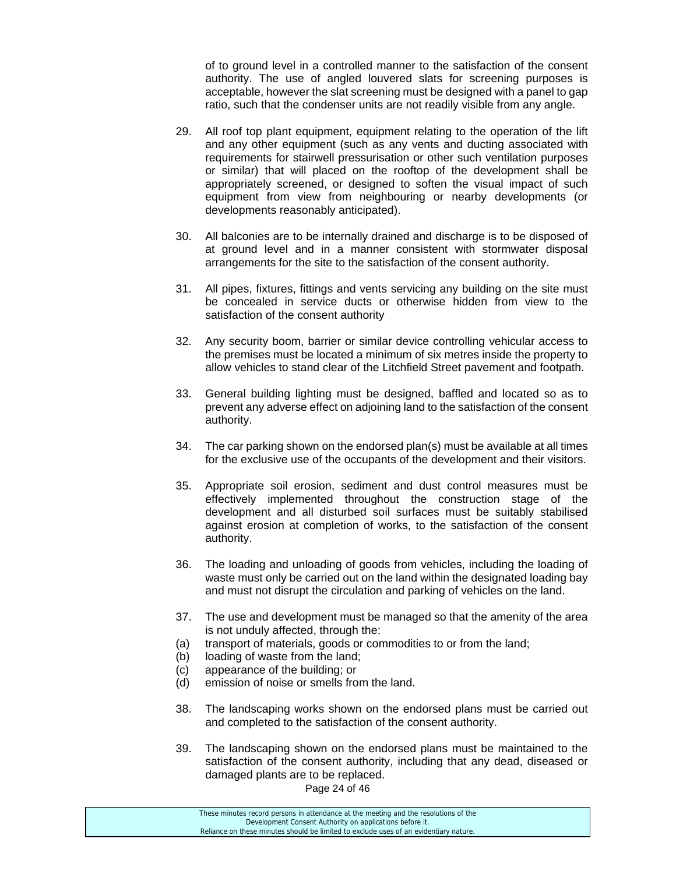of to ground level in a controlled manner to the satisfaction of the consent authority. The use of angled louvered slats for screening purposes is acceptable, however the slat screening must be designed with a panel to gap ratio, such that the condenser units are not readily visible from any angle.

- 29. All roof top plant equipment, equipment relating to the operation of the lift and any other equipment (such as any vents and ducting associated with requirements for stairwell pressurisation or other such ventilation purposes or similar) that will placed on the rooftop of the development shall be appropriately screened, or designed to soften the visual impact of such equipment from view from neighbouring or nearby developments (or developments reasonably anticipated).
- 30. All balconies are to be internally drained and discharge is to be disposed of at ground level and in a manner consistent with stormwater disposal arrangements for the site to the satisfaction of the consent authority.
- 31. All pipes, fixtures, fittings and vents servicing any building on the site must be concealed in service ducts or otherwise hidden from view to the satisfaction of the consent authority
- 32. Any security boom, barrier or similar device controlling vehicular access to the premises must be located a minimum of six metres inside the property to allow vehicles to stand clear of the Litchfield Street pavement and footpath.
- 33. General building lighting must be designed, baffled and located so as to prevent any adverse effect on adjoining land to the satisfaction of the consent authority.
- 34. The car parking shown on the endorsed plan(s) must be available at all times for the exclusive use of the occupants of the development and their visitors.
- 35. Appropriate soil erosion, sediment and dust control measures must be effectively implemented throughout the construction stage of the development and all disturbed soil surfaces must be suitably stabilised against erosion at completion of works, to the satisfaction of the consent authority.
- 36. The loading and unloading of goods from vehicles, including the loading of waste must only be carried out on the land within the designated loading bay and must not disrupt the circulation and parking of vehicles on the land.
- 37. The use and development must be managed so that the amenity of the area is not unduly affected, through the:
- (a) transport of materials, goods or commodities to or from the land;
- (b) loading of waste from the land;
- (c) appearance of the building; or
- (d) emission of noise or smells from the land.
- 38. The landscaping works shown on the endorsed plans must be carried out and completed to the satisfaction of the consent authority.
- 39. The landscaping shown on the endorsed plans must be maintained to the satisfaction of the consent authority, including that any dead, diseased or damaged plants are to be replaced.

Page 24 of 46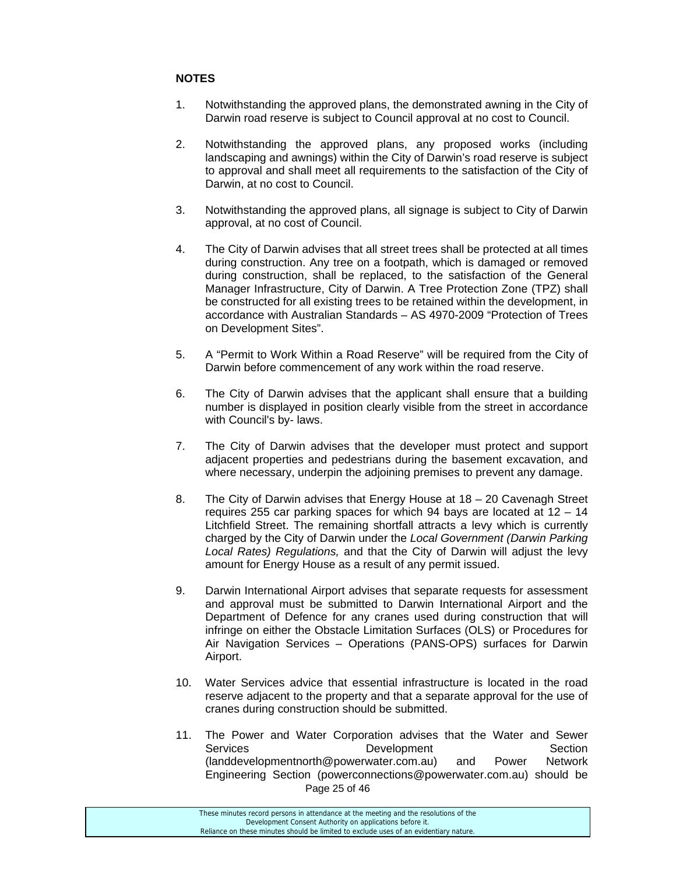# **NOTES**

- 1. Notwithstanding the approved plans, the demonstrated awning in the City of Darwin road reserve is subject to Council approval at no cost to Council.
- 2. Notwithstanding the approved plans, any proposed works (including landscaping and awnings) within the City of Darwin's road reserve is subject to approval and shall meet all requirements to the satisfaction of the City of Darwin, at no cost to Council.
- 3. Notwithstanding the approved plans, all signage is subject to City of Darwin approval, at no cost of Council.
- 4. The City of Darwin advises that all street trees shall be protected at all times during construction. Any tree on a footpath, which is damaged or removed during construction, shall be replaced, to the satisfaction of the General Manager Infrastructure, City of Darwin. A Tree Protection Zone (TPZ) shall be constructed for all existing trees to be retained within the development, in accordance with Australian Standards – AS 4970-2009 "Protection of Trees on Development Sites".
- 5. A "Permit to Work Within a Road Reserve" will be required from the City of Darwin before commencement of any work within the road reserve.
- 6. The City of Darwin advises that the applicant shall ensure that a building number is displayed in position clearly visible from the street in accordance with Council's by- laws.
- 7. The City of Darwin advises that the developer must protect and support adjacent properties and pedestrians during the basement excavation, and where necessary, underpin the adjoining premises to prevent any damage.
- 8. The City of Darwin advises that Energy House at 18 20 Cavenagh Street requires 255 car parking spaces for which 94 bays are located at 12 – 14 Litchfield Street. The remaining shortfall attracts a levy which is currently charged by the City of Darwin under the *Local Government (Darwin Parking Local Rates) Regulations,* and that the City of Darwin will adjust the levy amount for Energy House as a result of any permit issued.
- 9. Darwin International Airport advises that separate requests for assessment and approval must be submitted to Darwin International Airport and the Department of Defence for any cranes used during construction that will infringe on either the Obstacle Limitation Surfaces (OLS) or Procedures for Air Navigation Services – Operations (PANS-OPS) surfaces for Darwin Airport.
- 10. Water Services advice that essential infrastructure is located in the road reserve adjacent to the property and that a separate approval for the use of cranes during construction should be submitted.
- Page 25 of 46 11. The Power and Water Corporation advises that the Water and Sewer Services **Development** Development Section (landdevelopmentnorth@powerwater.com.au) and Power Network Engineering Section (powerconnections@powerwater.com.au) should be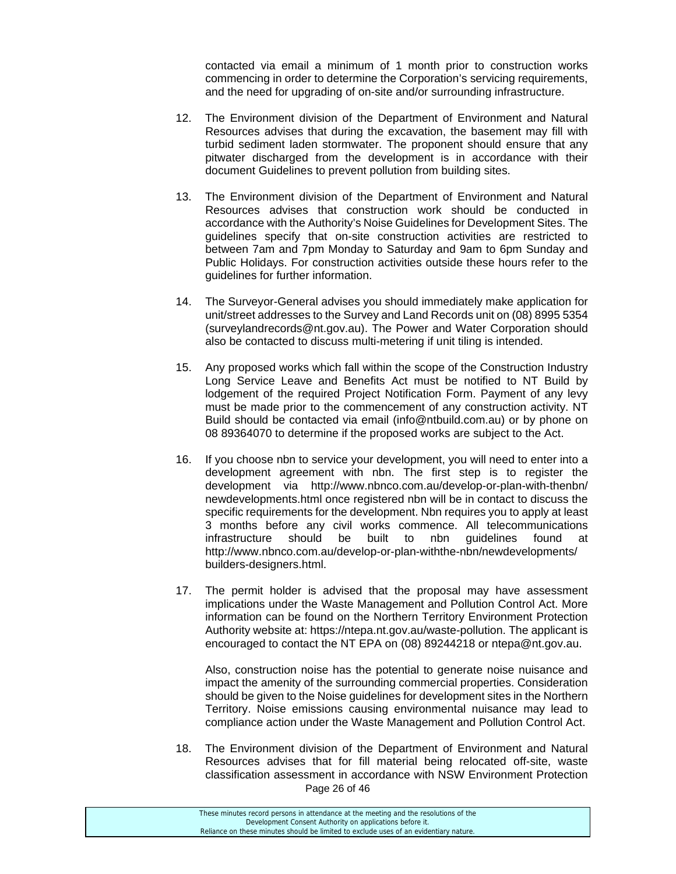contacted via email a minimum of 1 month prior to construction works commencing in order to determine the Corporation's servicing requirements, and the need for upgrading of on-site and/or surrounding infrastructure.

- 12. The Environment division of the Department of Environment and Natural Resources advises that during the excavation, the basement may fill with turbid sediment laden stormwater. The proponent should ensure that any pitwater discharged from the development is in accordance with their document Guidelines to prevent pollution from building sites.
- 13. The Environment division of the Department of Environment and Natural Resources advises that construction work should be conducted in accordance with the Authority's Noise Guidelines for Development Sites. The guidelines specify that on-site construction activities are restricted to between 7am and 7pm Monday to Saturday and 9am to 6pm Sunday and Public Holidays. For construction activities outside these hours refer to the guidelines for further information.
- 14. The Surveyor-General advises you should immediately make application for unit/street addresses to the Survey and Land Records unit on (08) 8995 5354 (surveylandrecords@nt.gov.au). The Power and Water Corporation should also be contacted to discuss multi-metering if unit tiling is intended.
- 15. Any proposed works which fall within the scope of the Construction Industry Long Service Leave and Benefits Act must be notified to NT Build by lodgement of the required Project Notification Form. Payment of any levy must be made prior to the commencement of any construction activity. NT Build should be contacted via email (info@ntbuild.com.au) or by phone on 08 89364070 to determine if the proposed works are subject to the Act.
- 16. If you choose nbn to service your development, you will need to enter into a development agreement with nbn. The first step is to register the development via http://www.nbnco.com.au/develop-or-plan-with-thenbn/ newdevelopments.html once registered nbn will be in contact to discuss the specific requirements for the development. Nbn requires you to apply at least 3 months before any civil works commence. All telecommunications infrastructure should be built to nbn guidelines found at http://www.nbnco.com.au/develop-or-plan-withthe-nbn/newdevelopments/ builders-designers.html.
- 17. The permit holder is advised that the proposal may have assessment implications under the Waste Management and Pollution Control Act. More information can be found on the Northern Territory Environment Protection Authority website at: https://ntepa.nt.gov.au/waste-pollution. The applicant is encouraged to contact the NT EPA on (08) 89244218 or ntepa@nt.gov.au.

 Also, construction noise has the potential to generate noise nuisance and impact the amenity of the surrounding commercial properties. Consideration should be given to the Noise guidelines for development sites in the Northern Territory. Noise emissions causing environmental nuisance may lead to compliance action under the Waste Management and Pollution Control Act.

Page 26 of 46 18. The Environment division of the Department of Environment and Natural Resources advises that for fill material being relocated off-site, waste classification assessment in accordance with NSW Environment Protection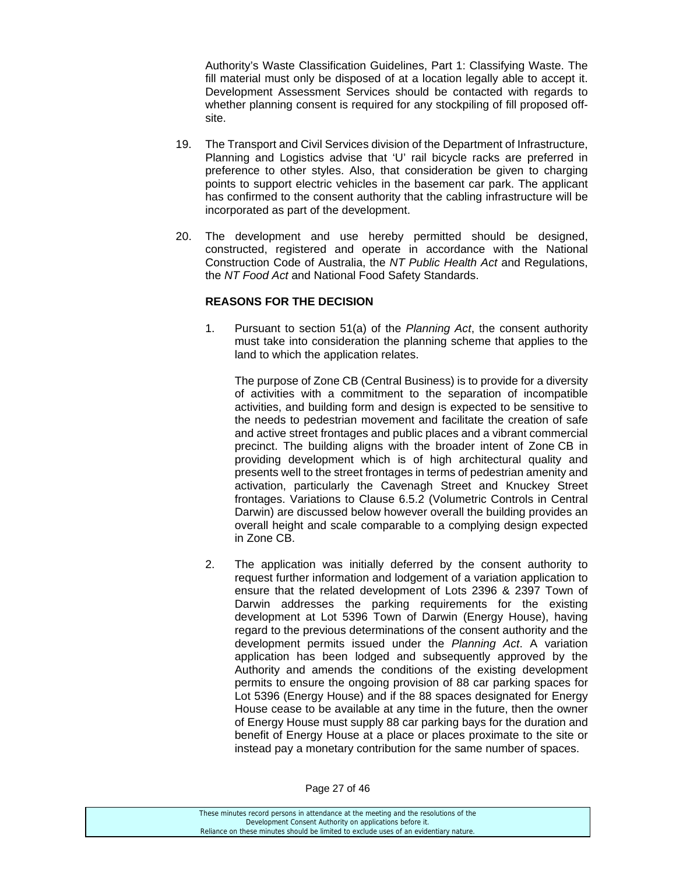Authority's Waste Classification Guidelines, Part 1: Classifying Waste. The fill material must only be disposed of at a location legally able to accept it. Development Assessment Services should be contacted with regards to whether planning consent is required for any stockpiling of fill proposed offsite.

- 19. The Transport and Civil Services division of the Department of Infrastructure, Planning and Logistics advise that 'U' rail bicycle racks are preferred in preference to other styles. Also, that consideration be given to charging points to support electric vehicles in the basement car park. The applicant has confirmed to the consent authority that the cabling infrastructure will be incorporated as part of the development.
- 20. The development and use hereby permitted should be designed, constructed, registered and operate in accordance with the National Construction Code of Australia, the *NT Public Health Act* and Regulations, the *NT Food Act* and National Food Safety Standards.

#### **REASONS FOR THE DECISION**

1. Pursuant to section 51(a) of the *Planning Act*, the consent authority must take into consideration the planning scheme that applies to the land to which the application relates.

The purpose of Zone CB (Central Business) is to provide for a diversity of activities with a commitment to the separation of incompatible activities, and building form and design is expected to be sensitive to the needs to pedestrian movement and facilitate the creation of safe and active street frontages and public places and a vibrant commercial precinct. The building aligns with the broader intent of Zone CB in providing development which is of high architectural quality and presents well to the street frontages in terms of pedestrian amenity and activation, particularly the Cavenagh Street and Knuckey Street frontages. Variations to Clause 6.5.2 (Volumetric Controls in Central Darwin) are discussed below however overall the building provides an overall height and scale comparable to a complying design expected in Zone CB.

2. The application was initially deferred by the consent authority to request further information and lodgement of a variation application to ensure that the related development of Lots 2396 & 2397 Town of Darwin addresses the parking requirements for the existing development at Lot 5396 Town of Darwin (Energy House), having regard to the previous determinations of the consent authority and the development permits issued under the *Planning Act*. A variation application has been lodged and subsequently approved by the Authority and amends the conditions of the existing development permits to ensure the ongoing provision of 88 car parking spaces for Lot 5396 (Energy House) and if the 88 spaces designated for Energy House cease to be available at any time in the future, then the owner of Energy House must supply 88 car parking bays for the duration and benefit of Energy House at a place or places proximate to the site or instead pay a monetary contribution for the same number of spaces.

Development Consent Authority on applications before it. Reliance on these minutes should be limited to exclude uses of an evidentiary nature.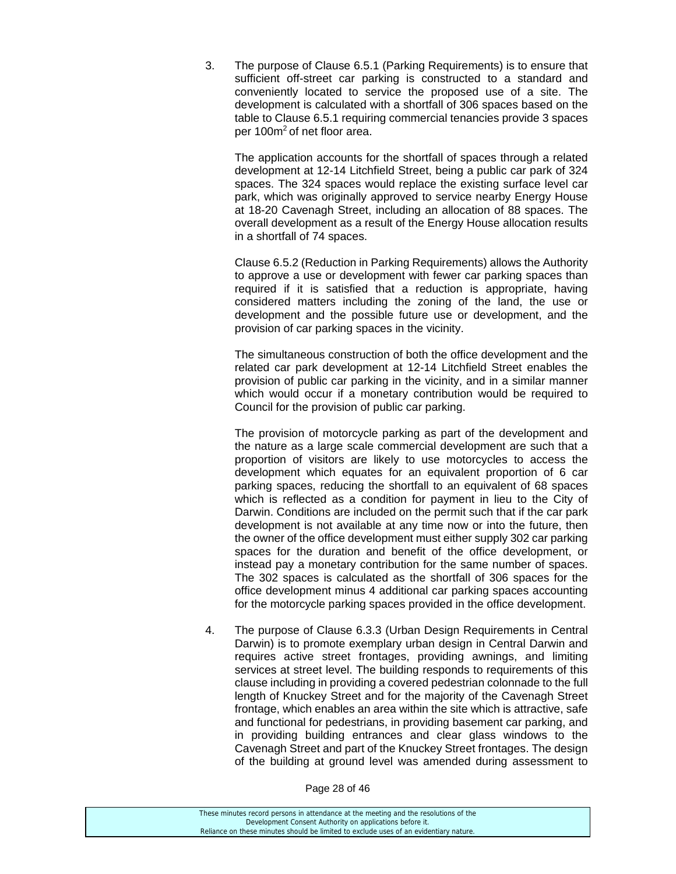3. The purpose of Clause 6.5.1 (Parking Requirements) is to ensure that sufficient off-street car parking is constructed to a standard and conveniently located to service the proposed use of a site. The development is calculated with a shortfall of 306 spaces based on the table to Clause 6.5.1 requiring commercial tenancies provide 3 spaces per 100m2 of net floor area.

 The application accounts for the shortfall of spaces through a related development at 12-14 Litchfield Street, being a public car park of 324 spaces. The 324 spaces would replace the existing surface level car park, which was originally approved to service nearby Energy House at 18-20 Cavenagh Street, including an allocation of 88 spaces. The overall development as a result of the Energy House allocation results in a shortfall of 74 spaces.

 Clause 6.5.2 (Reduction in Parking Requirements) allows the Authority to approve a use or development with fewer car parking spaces than required if it is satisfied that a reduction is appropriate, having considered matters including the zoning of the land, the use or development and the possible future use or development, and the provision of car parking spaces in the vicinity.

 The simultaneous construction of both the office development and the related car park development at 12-14 Litchfield Street enables the provision of public car parking in the vicinity, and in a similar manner which would occur if a monetary contribution would be required to Council for the provision of public car parking.

 The provision of motorcycle parking as part of the development and the nature as a large scale commercial development are such that a proportion of visitors are likely to use motorcycles to access the development which equates for an equivalent proportion of 6 car parking spaces, reducing the shortfall to an equivalent of 68 spaces which is reflected as a condition for payment in lieu to the City of Darwin. Conditions are included on the permit such that if the car park development is not available at any time now or into the future, then the owner of the office development must either supply 302 car parking spaces for the duration and benefit of the office development, or instead pay a monetary contribution for the same number of spaces. The 302 spaces is calculated as the shortfall of 306 spaces for the office development minus 4 additional car parking spaces accounting for the motorcycle parking spaces provided in the office development.

4. The purpose of Clause 6.3.3 (Urban Design Requirements in Central Darwin) is to promote exemplary urban design in Central Darwin and requires active street frontages, providing awnings, and limiting services at street level. The building responds to requirements of this clause including in providing a covered pedestrian colonnade to the full length of Knuckey Street and for the majority of the Cavenagh Street frontage, which enables an area within the site which is attractive, safe and functional for pedestrians, in providing basement car parking, and in providing building entrances and clear glass windows to the Cavenagh Street and part of the Knuckey Street frontages. The design of the building at ground level was amended during assessment to

Page 28 of 46

| These minutes record persons in attendance at the meeting and the resolutions of the  |
|---------------------------------------------------------------------------------------|
| Development Consent Authority on applications before it.                              |
| Reliance on these minutes should be limited to exclude uses of an evidentiary nature. |
|                                                                                       |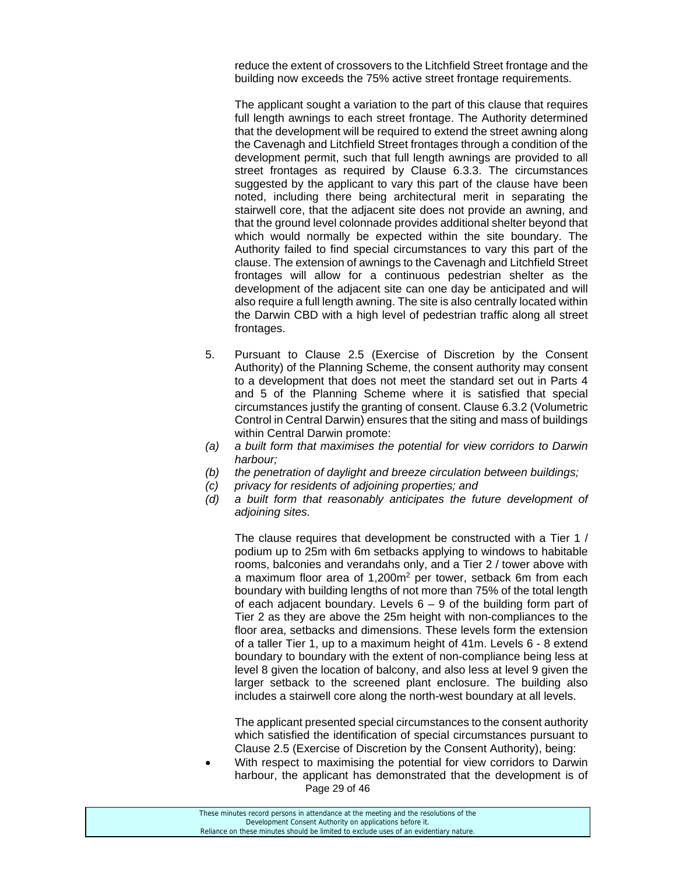reduce the extent of crossovers to the Litchfield Street frontage and the building now exceeds the 75% active street frontage requirements.

 The applicant sought a variation to the part of this clause that requires full length awnings to each street frontage. The Authority determined that the development will be required to extend the street awning along the Cavenagh and Litchfield Street frontages through a condition of the development permit, such that full length awnings are provided to all street frontages as required by Clause 6.3.3. The circumstances suggested by the applicant to vary this part of the clause have been noted, including there being architectural merit in separating the stairwell core, that the adjacent site does not provide an awning, and that the ground level colonnade provides additional shelter beyond that which would normally be expected within the site boundary. The Authority failed to find special circumstances to vary this part of the clause. The extension of awnings to the Cavenagh and Litchfield Street frontages will allow for a continuous pedestrian shelter as the development of the adjacent site can one day be anticipated and will also require a full length awning. The site is also centrally located within the Darwin CBD with a high level of pedestrian traffic along all street frontages.

- 5. Pursuant to Clause 2.5 (Exercise of Discretion by the Consent Authority) of the Planning Scheme, the consent authority may consent to a development that does not meet the standard set out in Parts 4 and 5 of the Planning Scheme where it is satisfied that special circumstances justify the granting of consent. Clause 6.3.2 (Volumetric Control in Central Darwin) ensures that the siting and mass of buildings within Central Darwin promote:
- *(a) a built form that maximises the potential for view corridors to Darwin harbour;*
- *(b) the penetration of daylight and breeze circulation between buildings;*
- *(c) privacy for residents of adjoining properties; and*
- *(d) a built form that reasonably anticipates the future development of adjoining sites.*

 The clause requires that development be constructed with a Tier 1 / podium up to 25m with 6m setbacks applying to windows to habitable rooms, balconies and verandahs only, and a Tier 2 / tower above with a maximum floor area of 1,200m<sup>2</sup> per tower, setback 6m from each boundary with building lengths of not more than 75% of the total length of each adjacent boundary. Levels  $6 - 9$  of the building form part of Tier 2 as they are above the 25m height with non-compliances to the floor area, setbacks and dimensions. These levels form the extension of a taller Tier 1, up to a maximum height of 41m. Levels 6 - 8 extend boundary to boundary with the extent of non-compliance being less at level 8 given the location of balcony, and also less at level 9 given the larger setback to the screened plant enclosure. The building also includes a stairwell core along the north-west boundary at all levels.

 The applicant presented special circumstances to the consent authority which satisfied the identification of special circumstances pursuant to Clause 2.5 (Exercise of Discretion by the Consent Authority), being:

Page 29 of 46 With respect to maximising the potential for view corridors to Darwin harbour, the applicant has demonstrated that the development is of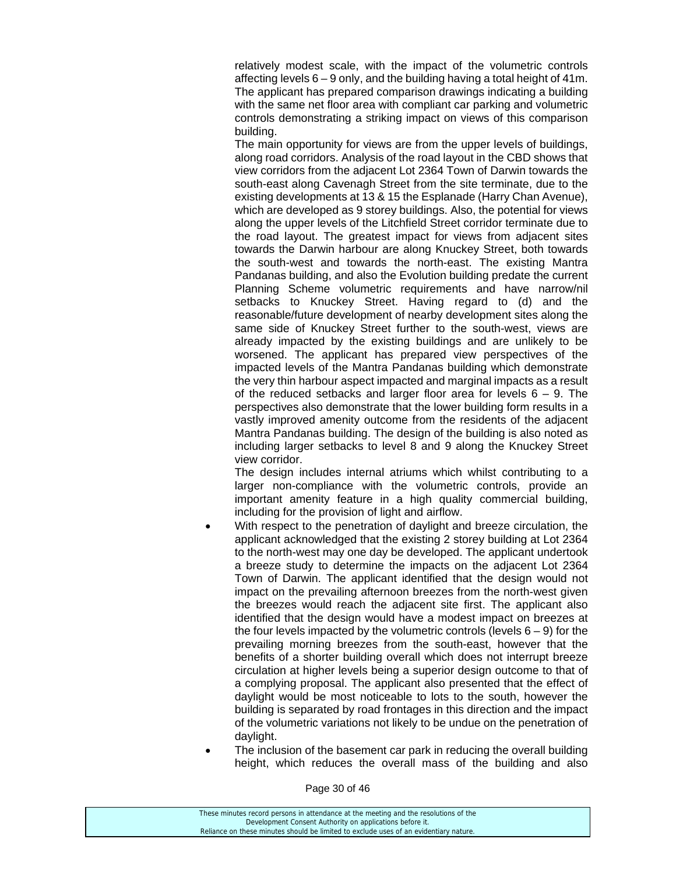relatively modest scale, with the impact of the volumetric controls affecting levels 6 – 9 only, and the building having a total height of 41m. The applicant has prepared comparison drawings indicating a building with the same net floor area with compliant car parking and volumetric controls demonstrating a striking impact on views of this comparison building.

 The main opportunity for views are from the upper levels of buildings, along road corridors. Analysis of the road layout in the CBD shows that view corridors from the adjacent Lot 2364 Town of Darwin towards the south-east along Cavenagh Street from the site terminate, due to the existing developments at 13 & 15 the Esplanade (Harry Chan Avenue), which are developed as 9 storey buildings. Also, the potential for views along the upper levels of the Litchfield Street corridor terminate due to the road layout. The greatest impact for views from adjacent sites towards the Darwin harbour are along Knuckey Street, both towards the south-west and towards the north-east. The existing Mantra Pandanas building, and also the Evolution building predate the current Planning Scheme volumetric requirements and have narrow/nil setbacks to Knuckey Street. Having regard to (d) and the reasonable/future development of nearby development sites along the same side of Knuckey Street further to the south-west, views are already impacted by the existing buildings and are unlikely to be worsened. The applicant has prepared view perspectives of the impacted levels of the Mantra Pandanas building which demonstrate the very thin harbour aspect impacted and marginal impacts as a result of the reduced setbacks and larger floor area for levels  $6 - 9$ . The perspectives also demonstrate that the lower building form results in a vastly improved amenity outcome from the residents of the adjacent Mantra Pandanas building. The design of the building is also noted as including larger setbacks to level 8 and 9 along the Knuckey Street view corridor.

 The design includes internal atriums which whilst contributing to a larger non-compliance with the volumetric controls, provide an important amenity feature in a high quality commercial building, including for the provision of light and airflow.

- With respect to the penetration of daylight and breeze circulation, the applicant acknowledged that the existing 2 storey building at Lot 2364 to the north-west may one day be developed. The applicant undertook a breeze study to determine the impacts on the adjacent Lot 2364 Town of Darwin. The applicant identified that the design would not impact on the prevailing afternoon breezes from the north-west given the breezes would reach the adjacent site first. The applicant also identified that the design would have a modest impact on breezes at the four levels impacted by the volumetric controls (levels  $6 - 9$ ) for the prevailing morning breezes from the south-east, however that the benefits of a shorter building overall which does not interrupt breeze circulation at higher levels being a superior design outcome to that of a complying proposal. The applicant also presented that the effect of daylight would be most noticeable to lots to the south, however the building is separated by road frontages in this direction and the impact of the volumetric variations not likely to be undue on the penetration of daylight.
- The inclusion of the basement car park in reducing the overall building height, which reduces the overall mass of the building and also

Page 30 of 46

| These minutes record persons in attendance at the meeting and the resolutions of the  |
|---------------------------------------------------------------------------------------|
| Development Consent Authority on applications before it.                              |
| Reliance on these minutes should be limited to exclude uses of an evidentiary nature. |
|                                                                                       |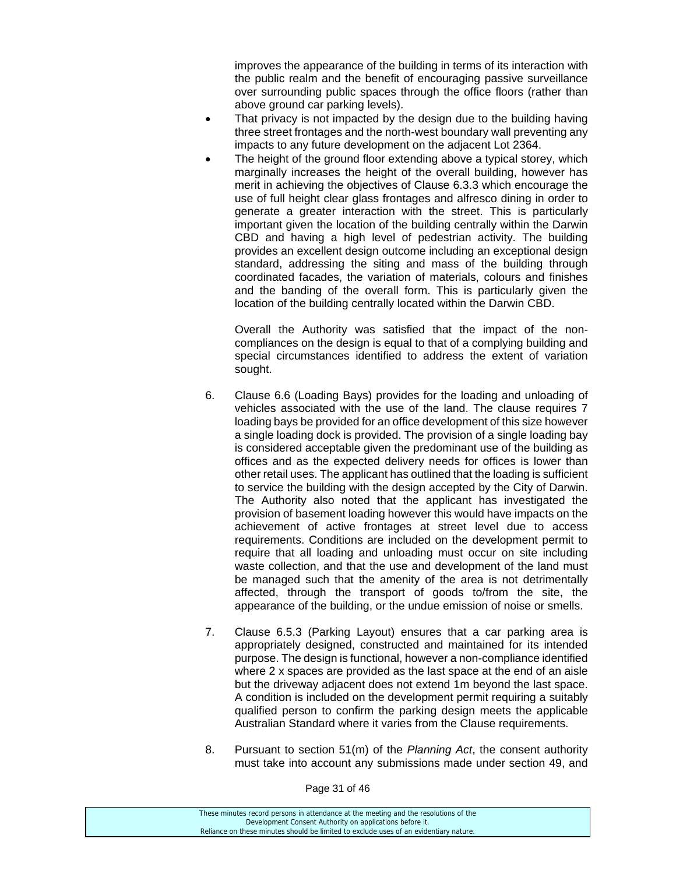improves the appearance of the building in terms of its interaction with the public realm and the benefit of encouraging passive surveillance over surrounding public spaces through the office floors (rather than above ground car parking levels).

- That privacy is not impacted by the design due to the building having three street frontages and the north-west boundary wall preventing any impacts to any future development on the adjacent Lot 2364.
- The height of the ground floor extending above a typical storey, which marginally increases the height of the overall building, however has merit in achieving the objectives of Clause 6.3.3 which encourage the use of full height clear glass frontages and alfresco dining in order to generate a greater interaction with the street. This is particularly important given the location of the building centrally within the Darwin CBD and having a high level of pedestrian activity. The building provides an excellent design outcome including an exceptional design standard, addressing the siting and mass of the building through coordinated facades, the variation of materials, colours and finishes and the banding of the overall form. This is particularly given the location of the building centrally located within the Darwin CBD.

 Overall the Authority was satisfied that the impact of the noncompliances on the design is equal to that of a complying building and special circumstances identified to address the extent of variation sought.

- 6. Clause 6.6 (Loading Bays) provides for the loading and unloading of vehicles associated with the use of the land. The clause requires 7 loading bays be provided for an office development of this size however a single loading dock is provided. The provision of a single loading bay is considered acceptable given the predominant use of the building as offices and as the expected delivery needs for offices is lower than other retail uses. The applicant has outlined that the loading is sufficient to service the building with the design accepted by the City of Darwin. The Authority also noted that the applicant has investigated the provision of basement loading however this would have impacts on the achievement of active frontages at street level due to access requirements. Conditions are included on the development permit to require that all loading and unloading must occur on site including waste collection, and that the use and development of the land must be managed such that the amenity of the area is not detrimentally affected, through the transport of goods to/from the site, the appearance of the building, or the undue emission of noise or smells.
- 7. Clause 6.5.3 (Parking Layout) ensures that a car parking area is appropriately designed, constructed and maintained for its intended purpose. The design is functional, however a non-compliance identified where 2 x spaces are provided as the last space at the end of an aisle but the driveway adjacent does not extend 1m beyond the last space. A condition is included on the development permit requiring a suitably qualified person to confirm the parking design meets the applicable Australian Standard where it varies from the Clause requirements.
- 8. Pursuant to section 51(m) of the *Planning Act*, the consent authority must take into account any submissions made under section 49, and

Page 31 of 46

| These minutes record persons in attendance at the meeting and the resolutions of the  |
|---------------------------------------------------------------------------------------|
| Development Consent Authority on applications before it.                              |
| Reliance on these minutes should be limited to exclude uses of an evidentiary nature. |
|                                                                                       |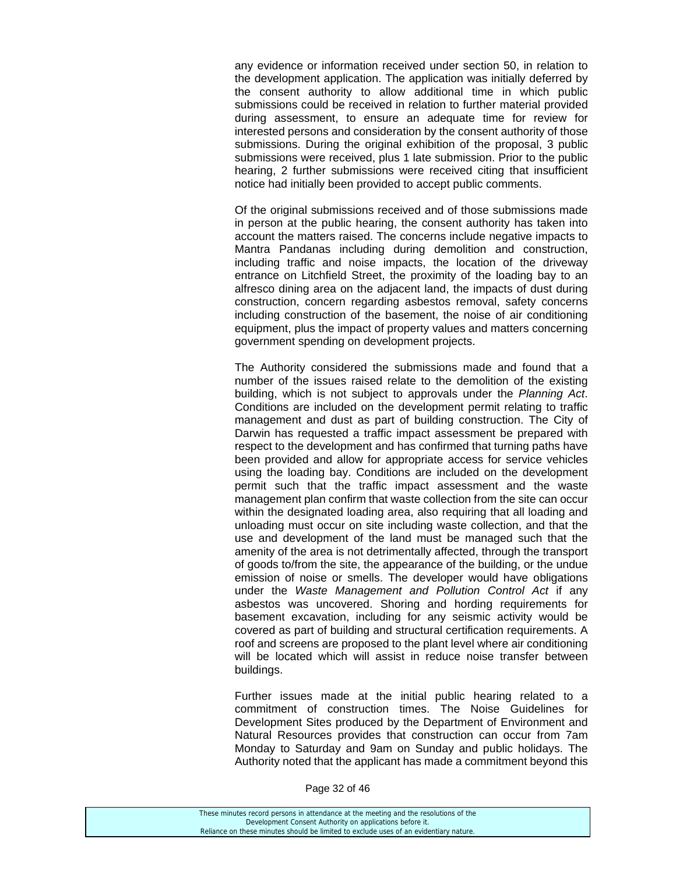any evidence or information received under section 50, in relation to the development application. The application was initially deferred by the consent authority to allow additional time in which public submissions could be received in relation to further material provided during assessment, to ensure an adequate time for review for interested persons and consideration by the consent authority of those submissions. During the original exhibition of the proposal, 3 public submissions were received, plus 1 late submission. Prior to the public hearing, 2 further submissions were received citing that insufficient notice had initially been provided to accept public comments.

 Of the original submissions received and of those submissions made in person at the public hearing, the consent authority has taken into account the matters raised. The concerns include negative impacts to Mantra Pandanas including during demolition and construction, including traffic and noise impacts, the location of the driveway entrance on Litchfield Street, the proximity of the loading bay to an alfresco dining area on the adjacent land, the impacts of dust during construction, concern regarding asbestos removal, safety concerns including construction of the basement, the noise of air conditioning equipment, plus the impact of property values and matters concerning government spending on development projects.

 The Authority considered the submissions made and found that a number of the issues raised relate to the demolition of the existing building, which is not subject to approvals under the *Planning Act*. Conditions are included on the development permit relating to traffic management and dust as part of building construction. The City of Darwin has requested a traffic impact assessment be prepared with respect to the development and has confirmed that turning paths have been provided and allow for appropriate access for service vehicles using the loading bay. Conditions are included on the development permit such that the traffic impact assessment and the waste management plan confirm that waste collection from the site can occur within the designated loading area, also requiring that all loading and unloading must occur on site including waste collection, and that the use and development of the land must be managed such that the amenity of the area is not detrimentally affected, through the transport of goods to/from the site, the appearance of the building, or the undue emission of noise or smells. The developer would have obligations under the *Waste Management and Pollution Control Act* if any asbestos was uncovered. Shoring and hording requirements for basement excavation, including for any seismic activity would be covered as part of building and structural certification requirements. A roof and screens are proposed to the plant level where air conditioning will be located which will assist in reduce noise transfer between buildings.

 Further issues made at the initial public hearing related to a commitment of construction times. The Noise Guidelines for Development Sites produced by the Department of Environment and Natural Resources provides that construction can occur from 7am Monday to Saturday and 9am on Sunday and public holidays. The Authority noted that the applicant has made a commitment beyond this

| These minutes record persons in attendance at the meeting and the resolutions of the  |
|---------------------------------------------------------------------------------------|
| Development Consent Authority on applications before it.                              |
| Reliance on these minutes should be limited to exclude uses of an evidentiary nature. |
|                                                                                       |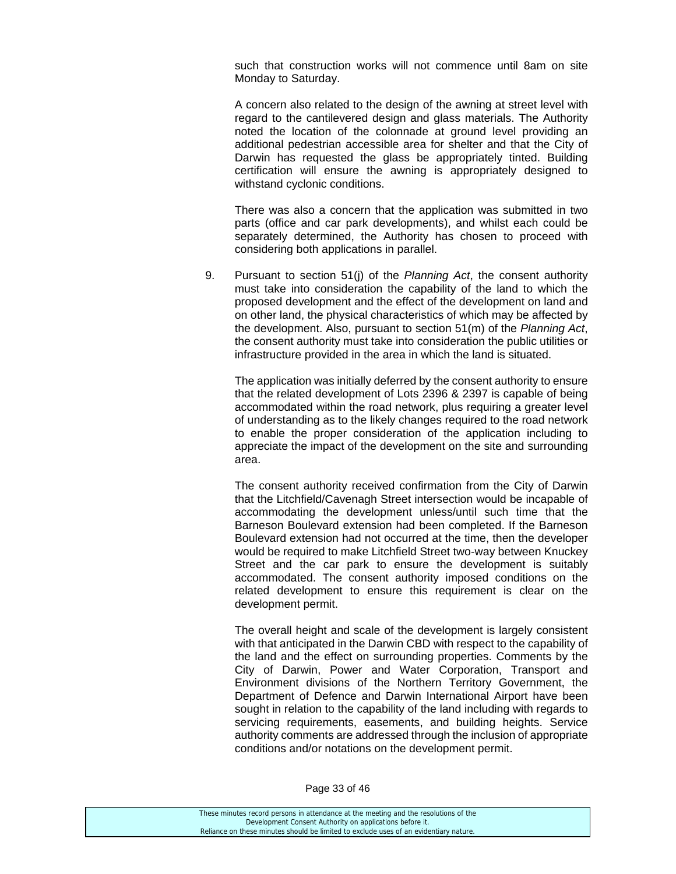such that construction works will not commence until 8am on site Monday to Saturday.

 A concern also related to the design of the awning at street level with regard to the cantilevered design and glass materials. The Authority noted the location of the colonnade at ground level providing an additional pedestrian accessible area for shelter and that the City of Darwin has requested the glass be appropriately tinted. Building certification will ensure the awning is appropriately designed to withstand cyclonic conditions.

 There was also a concern that the application was submitted in two parts (office and car park developments), and whilst each could be separately determined, the Authority has chosen to proceed with considering both applications in parallel.

9. Pursuant to section 51(j) of the *Planning Act*, the consent authority must take into consideration the capability of the land to which the proposed development and the effect of the development on land and on other land, the physical characteristics of which may be affected by the development. Also, pursuant to section 51(m) of the *Planning Act*, the consent authority must take into consideration the public utilities or infrastructure provided in the area in which the land is situated.

 The application was initially deferred by the consent authority to ensure that the related development of Lots 2396 & 2397 is capable of being accommodated within the road network, plus requiring a greater level of understanding as to the likely changes required to the road network to enable the proper consideration of the application including to appreciate the impact of the development on the site and surrounding area.

 The consent authority received confirmation from the City of Darwin that the Litchfield/Cavenagh Street intersection would be incapable of accommodating the development unless/until such time that the Barneson Boulevard extension had been completed. If the Barneson Boulevard extension had not occurred at the time, then the developer would be required to make Litchfield Street two-way between Knuckey Street and the car park to ensure the development is suitably accommodated. The consent authority imposed conditions on the related development to ensure this requirement is clear on the development permit.

 The overall height and scale of the development is largely consistent with that anticipated in the Darwin CBD with respect to the capability of the land and the effect on surrounding properties. Comments by the City of Darwin, Power and Water Corporation, Transport and Environment divisions of the Northern Territory Government, the Department of Defence and Darwin International Airport have been sought in relation to the capability of the land including with regards to servicing requirements, easements, and building heights. Service authority comments are addressed through the inclusion of appropriate conditions and/or notations on the development permit.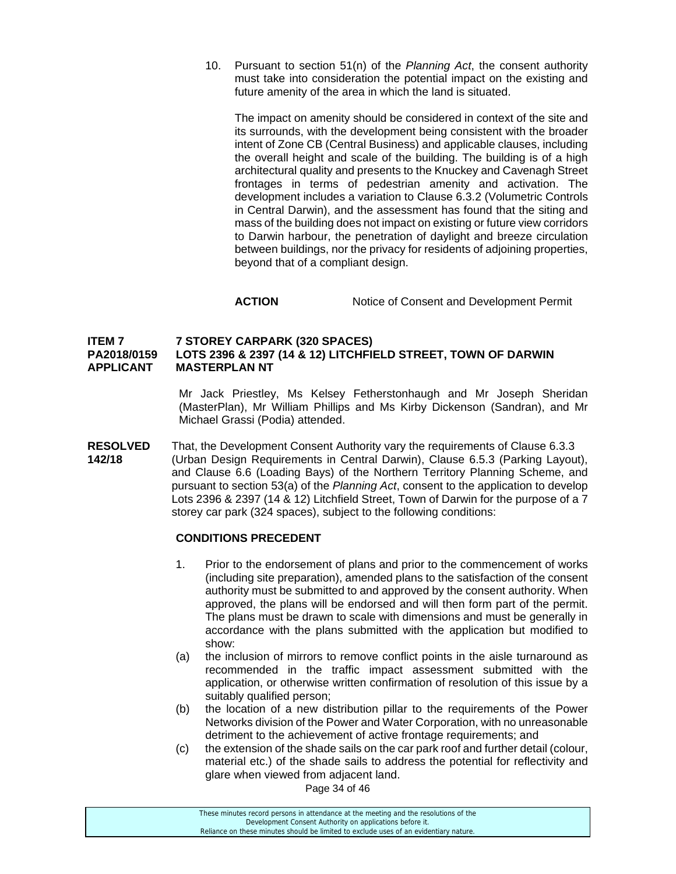10. Pursuant to section 51(n) of the *Planning Act*, the consent authority must take into consideration the potential impact on the existing and future amenity of the area in which the land is situated.

The impact on amenity should be considered in context of the site and its surrounds, with the development being consistent with the broader intent of Zone CB (Central Business) and applicable clauses, including the overall height and scale of the building. The building is of a high architectural quality and presents to the Knuckey and Cavenagh Street frontages in terms of pedestrian amenity and activation. The development includes a variation to Clause 6.3.2 (Volumetric Controls in Central Darwin), and the assessment has found that the siting and mass of the building does not impact on existing or future view corridors to Darwin harbour, the penetration of daylight and breeze circulation between buildings, nor the privacy for residents of adjoining properties, beyond that of a compliant design.

# **ACTION** Notice of Consent and Development Permit

# **ITEM 7 7 STOREY CARPARK (320 SPACES) PA2018/0159 LOTS 2396 & 2397 (14 & 12) LITCHFIELD STREET, TOWN OF DARWIN APPLICANT MASTERPLAN NT**

Mr Jack Priestley, Ms Kelsey Fetherstonhaugh and Mr Joseph Sheridan (MasterPlan), Mr William Phillips and Ms Kirby Dickenson (Sandran), and Mr Michael Grassi (Podia) attended.

**RESOLVED** That, the Development Consent Authority vary the requirements of Clause 6.3.3 **142/18** (Urban Design Requirements in Central Darwin), Clause 6.5.3 (Parking Layout), and Clause 6.6 (Loading Bays) of the Northern Territory Planning Scheme, and pursuant to section 53(a) of the *Planning Act*, consent to the application to develop Lots 2396 & 2397 (14 & 12) Litchfield Street, Town of Darwin for the purpose of a 7 storey car park (324 spaces), subject to the following conditions:

# **CONDITIONS PRECEDENT**

- 1. Prior to the endorsement of plans and prior to the commencement of works (including site preparation), amended plans to the satisfaction of the consent authority must be submitted to and approved by the consent authority. When approved, the plans will be endorsed and will then form part of the permit. The plans must be drawn to scale with dimensions and must be generally in accordance with the plans submitted with the application but modified to show:
- (a) the inclusion of mirrors to remove conflict points in the aisle turnaround as recommended in the traffic impact assessment submitted with the application, or otherwise written confirmation of resolution of this issue by a suitably qualified person;
- (b) the location of a new distribution pillar to the requirements of the Power Networks division of the Power and Water Corporation, with no unreasonable detriment to the achievement of active frontage requirements; and
- (c) the extension of the shade sails on the car park roof and further detail (colour, material etc.) of the shade sails to address the potential for reflectivity and glare when viewed from adjacent land.

Page 34 of 46

| These minutes record persons in attendance at the meeting and the resolutions of the  |  |
|---------------------------------------------------------------------------------------|--|
| Development Consent Authority on applications before it.                              |  |
| Reliance on these minutes should be limited to exclude uses of an evidentiary nature. |  |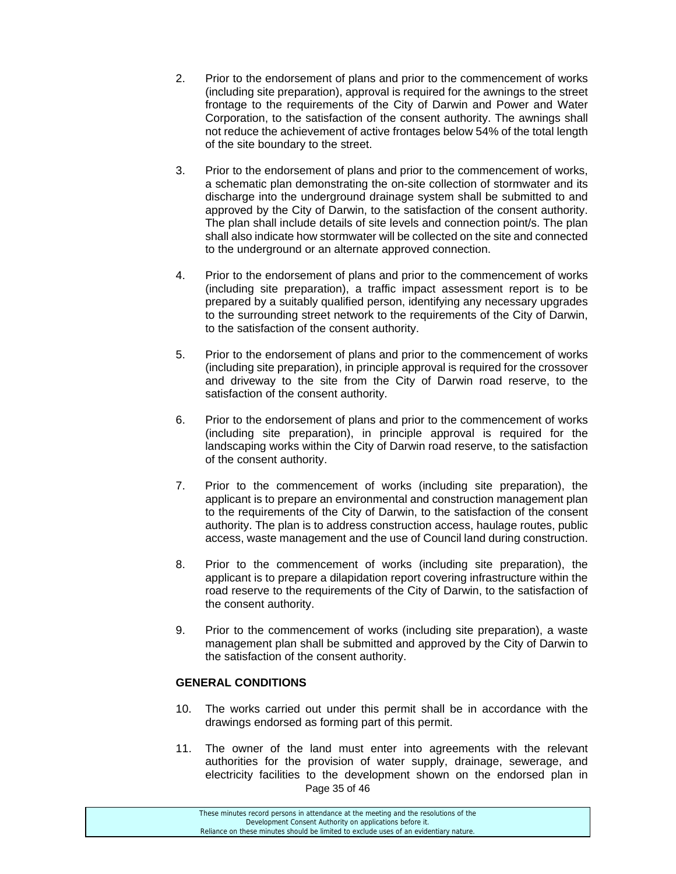- 2. Prior to the endorsement of plans and prior to the commencement of works (including site preparation), approval is required for the awnings to the street frontage to the requirements of the City of Darwin and Power and Water Corporation, to the satisfaction of the consent authority. The awnings shall not reduce the achievement of active frontages below 54% of the total length of the site boundary to the street.
- 3. Prior to the endorsement of plans and prior to the commencement of works, a schematic plan demonstrating the on-site collection of stormwater and its discharge into the underground drainage system shall be submitted to and approved by the City of Darwin, to the satisfaction of the consent authority. The plan shall include details of site levels and connection point/s. The plan shall also indicate how stormwater will be collected on the site and connected to the underground or an alternate approved connection.
- 4. Prior to the endorsement of plans and prior to the commencement of works (including site preparation), a traffic impact assessment report is to be prepared by a suitably qualified person, identifying any necessary upgrades to the surrounding street network to the requirements of the City of Darwin, to the satisfaction of the consent authority.
- 5. Prior to the endorsement of plans and prior to the commencement of works (including site preparation), in principle approval is required for the crossover and driveway to the site from the City of Darwin road reserve, to the satisfaction of the consent authority.
- 6. Prior to the endorsement of plans and prior to the commencement of works (including site preparation), in principle approval is required for the landscaping works within the City of Darwin road reserve, to the satisfaction of the consent authority.
- 7. Prior to the commencement of works (including site preparation), the applicant is to prepare an environmental and construction management plan to the requirements of the City of Darwin, to the satisfaction of the consent authority. The plan is to address construction access, haulage routes, public access, waste management and the use of Council land during construction.
- 8. Prior to the commencement of works (including site preparation), the applicant is to prepare a dilapidation report covering infrastructure within the road reserve to the requirements of the City of Darwin, to the satisfaction of the consent authority.
- 9. Prior to the commencement of works (including site preparation), a waste management plan shall be submitted and approved by the City of Darwin to the satisfaction of the consent authority.

# **GENERAL CONDITIONS**

- 10. The works carried out under this permit shall be in accordance with the drawings endorsed as forming part of this permit.
- Page 35 of 46 11. The owner of the land must enter into agreements with the relevant authorities for the provision of water supply, drainage, sewerage, and electricity facilities to the development shown on the endorsed plan in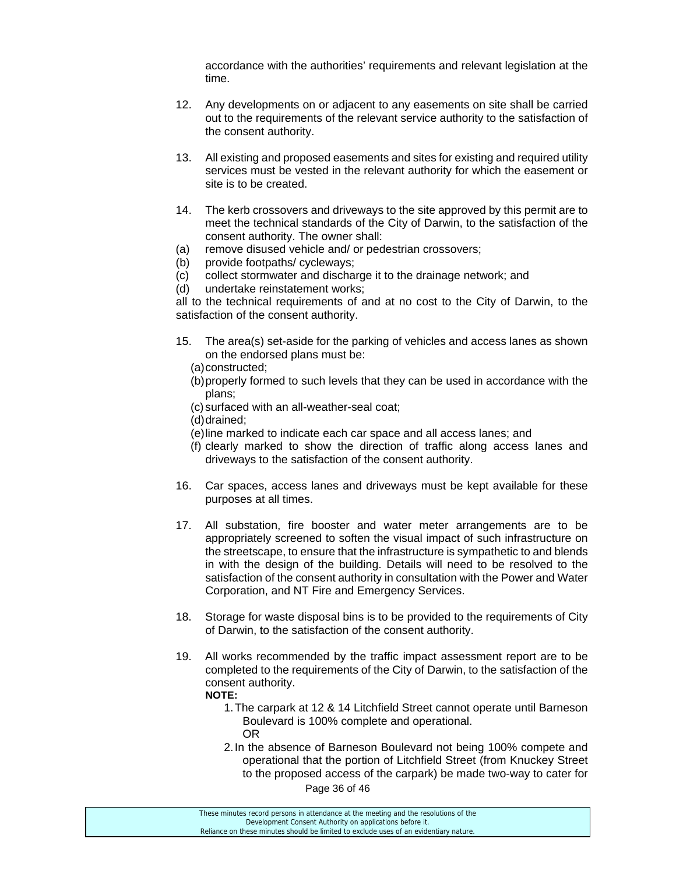accordance with the authorities' requirements and relevant legislation at the time.

- 12. Any developments on or adjacent to any easements on site shall be carried out to the requirements of the relevant service authority to the satisfaction of the consent authority.
- 13. All existing and proposed easements and sites for existing and required utility services must be vested in the relevant authority for which the easement or site is to be created.
- 14. The kerb crossovers and driveways to the site approved by this permit are to meet the technical standards of the City of Darwin, to the satisfaction of the consent authority. The owner shall:
- (a) remove disused vehicle and/ or pedestrian crossovers;
- (b) provide footpaths/ cycleways;
- (c) collect stormwater and discharge it to the drainage network; and
- (d) undertake reinstatement works;

all to the technical requirements of and at no cost to the City of Darwin, to the satisfaction of the consent authority.

- 15. The area(s) set-aside for the parking of vehicles and access lanes as shown on the endorsed plans must be:
	- (a) constructed;
	- (b) properly formed to such levels that they can be used in accordance with the plans;
	- (c) surfaced with an all-weather-seal coat;
	- (d) drained;
	- (e) line marked to indicate each car space and all access lanes; and
	- (f) clearly marked to show the direction of traffic along access lanes and driveways to the satisfaction of the consent authority.
- 16. Car spaces, access lanes and driveways must be kept available for these purposes at all times.
- 17. All substation, fire booster and water meter arrangements are to be appropriately screened to soften the visual impact of such infrastructure on the streetscape, to ensure that the infrastructure is sympathetic to and blends in with the design of the building. Details will need to be resolved to the satisfaction of the consent authority in consultation with the Power and Water Corporation, and NT Fire and Emergency Services.
- 18. Storage for waste disposal bins is to be provided to the requirements of City of Darwin, to the satisfaction of the consent authority.
- 19. All works recommended by the traffic impact assessment report are to be completed to the requirements of the City of Darwin, to the satisfaction of the consent authority. **NOTE:**
	- 1. The carpark at 12 & 14 Litchfield Street cannot operate until Barneson Boulevard is 100% complete and operational. OR
	- 2. In the absence of Barneson Boulevard not being 100% compete and operational that the portion of Litchfield Street (from Knuckey Street to the proposed access of the carpark) be made two-way to cater for

Page 36 of 46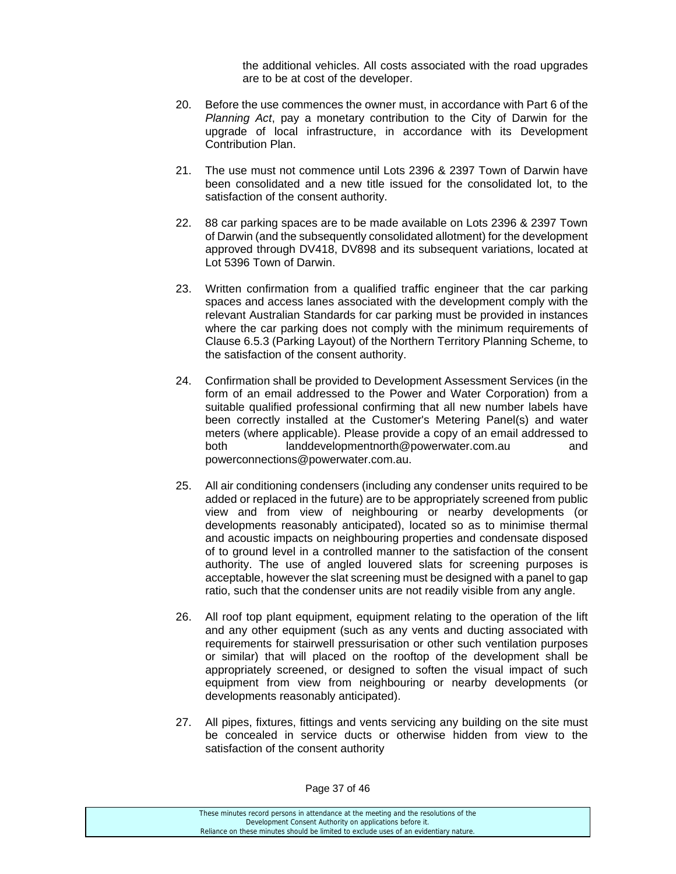the additional vehicles. All costs associated with the road upgrades are to be at cost of the developer.

- 20. Before the use commences the owner must, in accordance with Part 6 of the *Planning Act*, pay a monetary contribution to the City of Darwin for the upgrade of local infrastructure, in accordance with its Development Contribution Plan.
- 21. The use must not commence until Lots 2396 & 2397 Town of Darwin have been consolidated and a new title issued for the consolidated lot, to the satisfaction of the consent authority.
- 22. 88 car parking spaces are to be made available on Lots 2396 & 2397 Town of Darwin (and the subsequently consolidated allotment) for the development approved through DV418, DV898 and its subsequent variations, located at Lot 5396 Town of Darwin.
- 23. Written confirmation from a qualified traffic engineer that the car parking spaces and access lanes associated with the development comply with the relevant Australian Standards for car parking must be provided in instances where the car parking does not comply with the minimum requirements of Clause 6.5.3 (Parking Layout) of the Northern Territory Planning Scheme, to the satisfaction of the consent authority.
- 24. Confirmation shall be provided to Development Assessment Services (in the form of an email addressed to the Power and Water Corporation) from a suitable qualified professional confirming that all new number labels have been correctly installed at the Customer's Metering Panel(s) and water meters (where applicable). Please provide a copy of an email addressed to both landdevelopmentnorth@powerwater.com.au and powerconnections@powerwater.com.au.
- 25. All air conditioning condensers (including any condenser units required to be added or replaced in the future) are to be appropriately screened from public view and from view of neighbouring or nearby developments (or developments reasonably anticipated), located so as to minimise thermal and acoustic impacts on neighbouring properties and condensate disposed of to ground level in a controlled manner to the satisfaction of the consent authority. The use of angled louvered slats for screening purposes is acceptable, however the slat screening must be designed with a panel to gap ratio, such that the condenser units are not readily visible from any angle.
- 26. All roof top plant equipment, equipment relating to the operation of the lift and any other equipment (such as any vents and ducting associated with requirements for stairwell pressurisation or other such ventilation purposes or similar) that will placed on the rooftop of the development shall be appropriately screened, or designed to soften the visual impact of such equipment from view from neighbouring or nearby developments (or developments reasonably anticipated).
- 27. All pipes, fixtures, fittings and vents servicing any building on the site must be concealed in service ducts or otherwise hidden from view to the satisfaction of the consent authority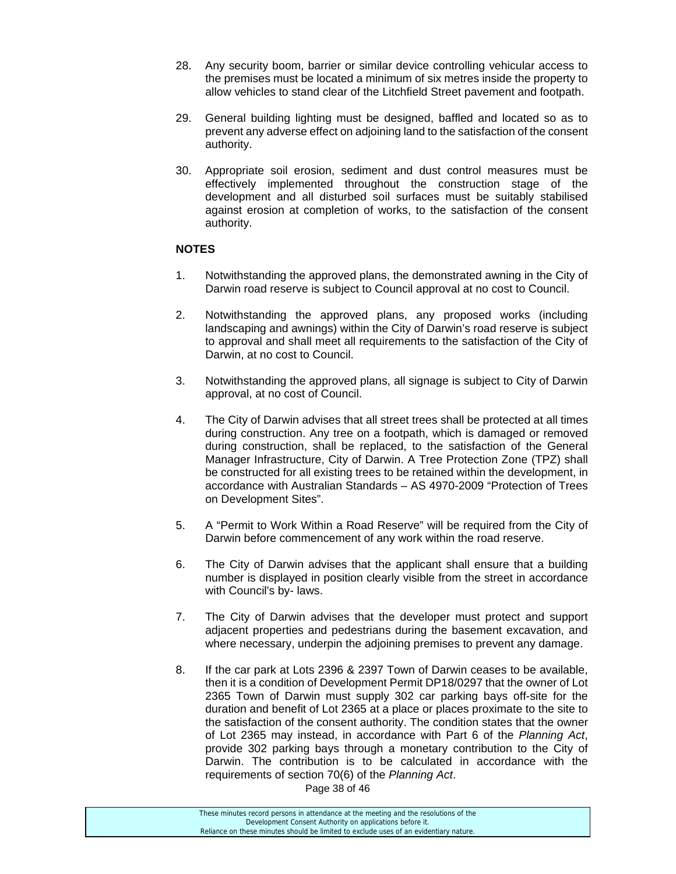- 28. Any security boom, barrier or similar device controlling vehicular access to the premises must be located a minimum of six metres inside the property to allow vehicles to stand clear of the Litchfield Street pavement and footpath.
- 29. General building lighting must be designed, baffled and located so as to prevent any adverse effect on adjoining land to the satisfaction of the consent authority.
- 30. Appropriate soil erosion, sediment and dust control measures must be effectively implemented throughout the construction stage of the development and all disturbed soil surfaces must be suitably stabilised against erosion at completion of works, to the satisfaction of the consent authority.

# **NOTES**

- 1. Notwithstanding the approved plans, the demonstrated awning in the City of Darwin road reserve is subject to Council approval at no cost to Council.
- 2. Notwithstanding the approved plans, any proposed works (including landscaping and awnings) within the City of Darwin's road reserve is subject to approval and shall meet all requirements to the satisfaction of the City of Darwin, at no cost to Council.
- 3. Notwithstanding the approved plans, all signage is subject to City of Darwin approval, at no cost of Council.
- 4. The City of Darwin advises that all street trees shall be protected at all times during construction. Any tree on a footpath, which is damaged or removed during construction, shall be replaced, to the satisfaction of the General Manager Infrastructure, City of Darwin. A Tree Protection Zone (TPZ) shall be constructed for all existing trees to be retained within the development, in accordance with Australian Standards – AS 4970-2009 "Protection of Trees on Development Sites".
- 5. A "Permit to Work Within a Road Reserve" will be required from the City of Darwin before commencement of any work within the road reserve.
- 6. The City of Darwin advises that the applicant shall ensure that a building number is displayed in position clearly visible from the street in accordance with Council's by- laws.
- 7. The City of Darwin advises that the developer must protect and support adjacent properties and pedestrians during the basement excavation, and where necessary, underpin the adjoining premises to prevent any damage.
- 8. If the car park at Lots 2396 & 2397 Town of Darwin ceases to be available, then it is a condition of Development Permit DP18/0297 that the owner of Lot 2365 Town of Darwin must supply 302 car parking bays off-site for the duration and benefit of Lot 2365 at a place or places proximate to the site to the satisfaction of the consent authority. The condition states that the owner of Lot 2365 may instead, in accordance with Part 6 of the *Planning Act*, provide 302 parking bays through a monetary contribution to the City of Darwin. The contribution is to be calculated in accordance with the requirements of section 70(6) of the *Planning Act*.

Page 38 of 46

| These minutes record persons in attendance at the meeting and the resolutions of the  |
|---------------------------------------------------------------------------------------|
| Development Consent Authority on applications before it.                              |
| Reliance on these minutes should be limited to exclude uses of an evidentiary nature. |
|                                                                                       |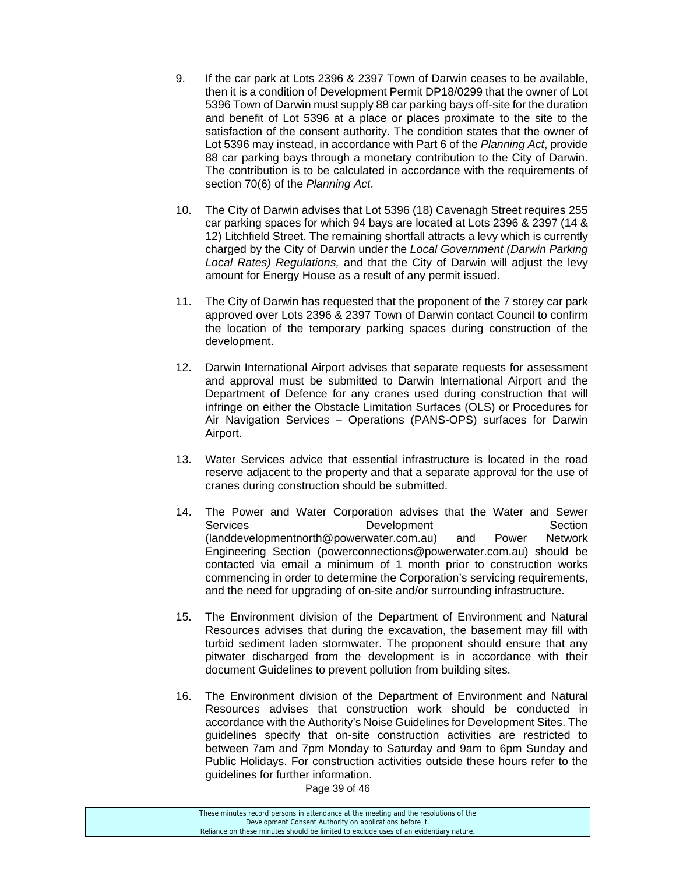- 9. If the car park at Lots 2396 & 2397 Town of Darwin ceases to be available, then it is a condition of Development Permit DP18/0299 that the owner of Lot 5396 Town of Darwin must supply 88 car parking bays off-site for the duration and benefit of Lot 5396 at a place or places proximate to the site to the satisfaction of the consent authority. The condition states that the owner of Lot 5396 may instead, in accordance with Part 6 of the *Planning Act*, provide 88 car parking bays through a monetary contribution to the City of Darwin. The contribution is to be calculated in accordance with the requirements of section 70(6) of the *Planning Act*.
- 10. The City of Darwin advises that Lot 5396 (18) Cavenagh Street requires 255 car parking spaces for which 94 bays are located at Lots 2396 & 2397 (14 & 12) Litchfield Street. The remaining shortfall attracts a levy which is currently charged by the City of Darwin under the *Local Government (Darwin Parking Local Rates) Regulations,* and that the City of Darwin will adjust the levy amount for Energy House as a result of any permit issued.
- 11. The City of Darwin has requested that the proponent of the 7 storey car park approved over Lots 2396 & 2397 Town of Darwin contact Council to confirm the location of the temporary parking spaces during construction of the development.
- 12. Darwin International Airport advises that separate requests for assessment and approval must be submitted to Darwin International Airport and the Department of Defence for any cranes used during construction that will infringe on either the Obstacle Limitation Surfaces (OLS) or Procedures for Air Navigation Services – Operations (PANS-OPS) surfaces for Darwin Airport.
- 13. Water Services advice that essential infrastructure is located in the road reserve adjacent to the property and that a separate approval for the use of cranes during construction should be submitted.
- 14. The Power and Water Corporation advises that the Water and Sewer Services **Development** Development Section (landdevelopmentnorth@powerwater.com.au) and Power Network Engineering Section (powerconnections@powerwater.com.au) should be contacted via email a minimum of 1 month prior to construction works commencing in order to determine the Corporation's servicing requirements, and the need for upgrading of on-site and/or surrounding infrastructure.
- 15. The Environment division of the Department of Environment and Natural Resources advises that during the excavation, the basement may fill with turbid sediment laden stormwater. The proponent should ensure that any pitwater discharged from the development is in accordance with their document Guidelines to prevent pollution from building sites.
- 16. The Environment division of the Department of Environment and Natural Resources advises that construction work should be conducted in accordance with the Authority's Noise Guidelines for Development Sites. The guidelines specify that on-site construction activities are restricted to between 7am and 7pm Monday to Saturday and 9am to 6pm Sunday and Public Holidays. For construction activities outside these hours refer to the guidelines for further information.

Page 39 of 46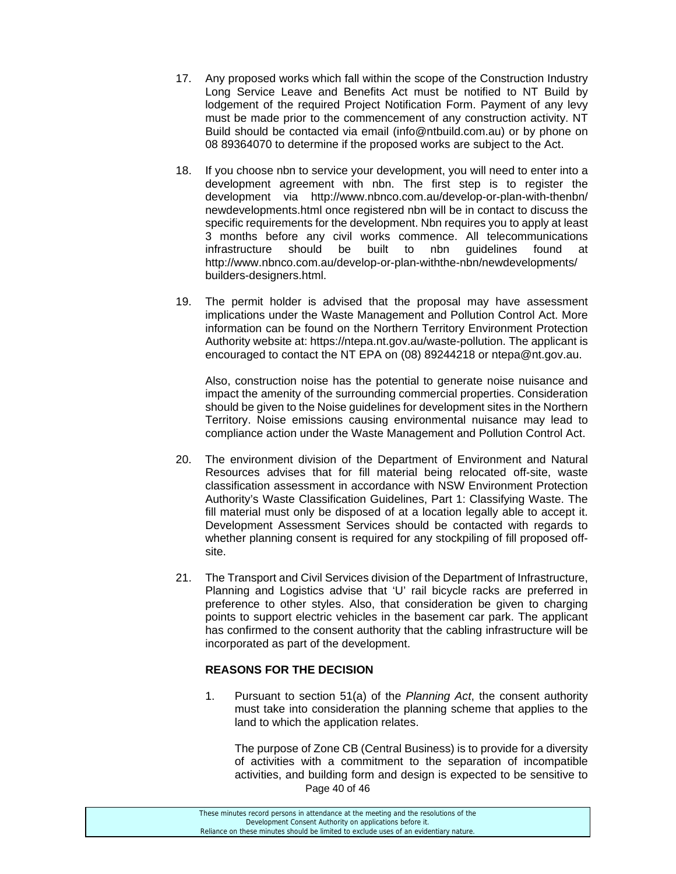- 17. Any proposed works which fall within the scope of the Construction Industry Long Service Leave and Benefits Act must be notified to NT Build by lodgement of the required Project Notification Form. Payment of any levy must be made prior to the commencement of any construction activity. NT Build should be contacted via email (info@ntbuild.com.au) or by phone on 08 89364070 to determine if the proposed works are subject to the Act.
- 18. If you choose nbn to service your development, you will need to enter into a development agreement with nbn. The first step is to register the development via http://www.nbnco.com.au/develop-or-plan-with-thenbn/ newdevelopments.html once registered nbn will be in contact to discuss the specific requirements for the development. Nbn requires you to apply at least 3 months before any civil works commence. All telecommunications infrastructure should be built to nbn guidelines found at http://www.nbnco.com.au/develop-or-plan-withthe-nbn/newdevelopments/ builders-designers.html.
- 19. The permit holder is advised that the proposal may have assessment implications under the Waste Management and Pollution Control Act. More information can be found on the Northern Territory Environment Protection Authority website at: https://ntepa.nt.gov.au/waste-pollution. The applicant is encouraged to contact the NT EPA on (08) 89244218 or ntepa@nt.gov.au.

Also, construction noise has the potential to generate noise nuisance and impact the amenity of the surrounding commercial properties. Consideration should be given to the Noise guidelines for development sites in the Northern Territory. Noise emissions causing environmental nuisance may lead to compliance action under the Waste Management and Pollution Control Act.

- 20. The environment division of the Department of Environment and Natural Resources advises that for fill material being relocated off-site, waste classification assessment in accordance with NSW Environment Protection Authority's Waste Classification Guidelines, Part 1: Classifying Waste. The fill material must only be disposed of at a location legally able to accept it. Development Assessment Services should be contacted with regards to whether planning consent is required for any stockpiling of fill proposed offsite.
- 21. The Transport and Civil Services division of the Department of Infrastructure, Planning and Logistics advise that 'U' rail bicycle racks are preferred in preference to other styles. Also, that consideration be given to charging points to support electric vehicles in the basement car park. The applicant has confirmed to the consent authority that the cabling infrastructure will be incorporated as part of the development.

# **REASONS FOR THE DECISION**

1. Pursuant to section 51(a) of the *Planning Act*, the consent authority must take into consideration the planning scheme that applies to the land to which the application relates.

Page 40 of 46 The purpose of Zone CB (Central Business) is to provide for a diversity of activities with a commitment to the separation of incompatible activities, and building form and design is expected to be sensitive to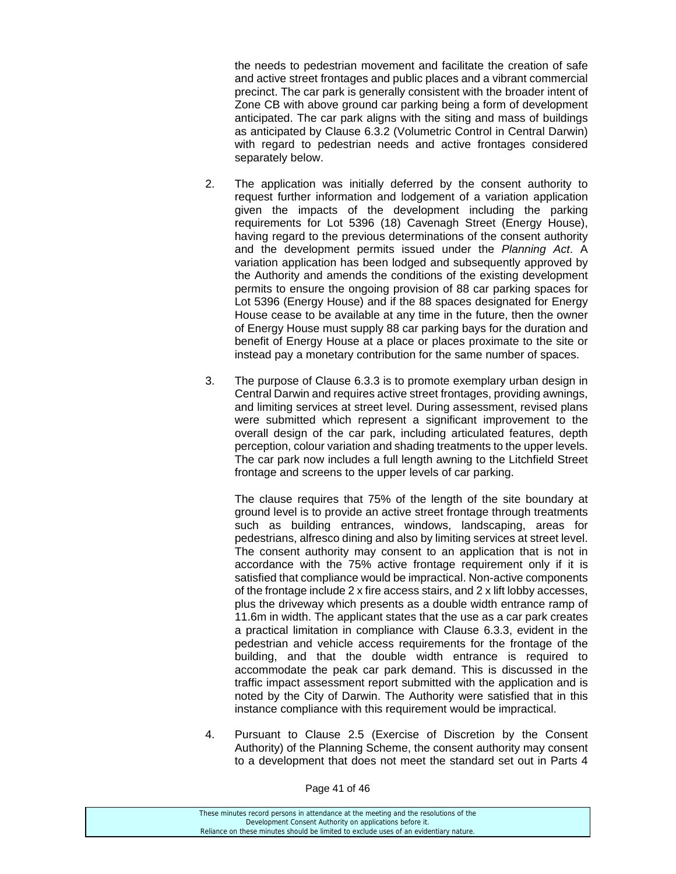the needs to pedestrian movement and facilitate the creation of safe and active street frontages and public places and a vibrant commercial precinct. The car park is generally consistent with the broader intent of Zone CB with above ground car parking being a form of development anticipated. The car park aligns with the siting and mass of buildings as anticipated by Clause 6.3.2 (Volumetric Control in Central Darwin) with regard to pedestrian needs and active frontages considered separately below.

- 2. The application was initially deferred by the consent authority to request further information and lodgement of a variation application given the impacts of the development including the parking requirements for Lot 5396 (18) Cavenagh Street (Energy House), having regard to the previous determinations of the consent authority and the development permits issued under the *Planning Act*. A variation application has been lodged and subsequently approved by the Authority and amends the conditions of the existing development permits to ensure the ongoing provision of 88 car parking spaces for Lot 5396 (Energy House) and if the 88 spaces designated for Energy House cease to be available at any time in the future, then the owner of Energy House must supply 88 car parking bays for the duration and benefit of Energy House at a place or places proximate to the site or instead pay a monetary contribution for the same number of spaces.
- 3. The purpose of Clause 6.3.3 is to promote exemplary urban design in Central Darwin and requires active street frontages, providing awnings, and limiting services at street level. During assessment, revised plans were submitted which represent a significant improvement to the overall design of the car park, including articulated features, depth perception, colour variation and shading treatments to the upper levels. The car park now includes a full length awning to the Litchfield Street frontage and screens to the upper levels of car parking.

The clause requires that 75% of the length of the site boundary at ground level is to provide an active street frontage through treatments such as building entrances, windows, landscaping, areas for pedestrians, alfresco dining and also by limiting services at street level. The consent authority may consent to an application that is not in accordance with the 75% active frontage requirement only if it is satisfied that compliance would be impractical. Non-active components of the frontage include 2 x fire access stairs, and 2 x lift lobby accesses, plus the driveway which presents as a double width entrance ramp of 11.6m in width. The applicant states that the use as a car park creates a practical limitation in compliance with Clause 6.3.3, evident in the pedestrian and vehicle access requirements for the frontage of the building, and that the double width entrance is required to accommodate the peak car park demand. This is discussed in the traffic impact assessment report submitted with the application and is noted by the City of Darwin. The Authority were satisfied that in this instance compliance with this requirement would be impractical.

4. Pursuant to Clause 2.5 (Exercise of Discretion by the Consent Authority) of the Planning Scheme, the consent authority may consent to a development that does not meet the standard set out in Parts 4

Page 41 of 46

| These minutes record persons in attendance at the meeting and the resolutions of the  |  |
|---------------------------------------------------------------------------------------|--|
| Development Consent Authority on applications before it.                              |  |
| Reliance on these minutes should be limited to exclude uses of an evidentiary nature. |  |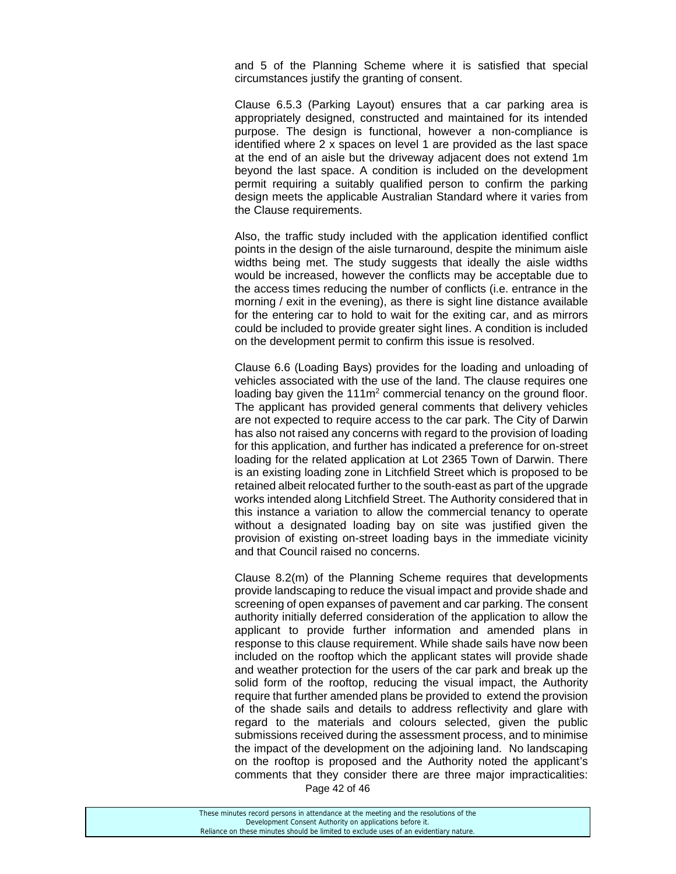and 5 of the Planning Scheme where it is satisfied that special circumstances justify the granting of consent.

Clause 6.5.3 (Parking Layout) ensures that a car parking area is appropriately designed, constructed and maintained for its intended purpose. The design is functional, however a non-compliance is identified where 2 x spaces on level 1 are provided as the last space at the end of an aisle but the driveway adjacent does not extend 1m beyond the last space. A condition is included on the development permit requiring a suitably qualified person to confirm the parking design meets the applicable Australian Standard where it varies from the Clause requirements.

Also, the traffic study included with the application identified conflict points in the design of the aisle turnaround, despite the minimum aisle widths being met. The study suggests that ideally the aisle widths would be increased, however the conflicts may be acceptable due to the access times reducing the number of conflicts (i.e. entrance in the morning / exit in the evening), as there is sight line distance available for the entering car to hold to wait for the exiting car, and as mirrors could be included to provide greater sight lines. A condition is included on the development permit to confirm this issue is resolved.

Clause 6.6 (Loading Bays) provides for the loading and unloading of vehicles associated with the use of the land. The clause requires one loading bay given the  $111m^2$  commercial tenancy on the ground floor. The applicant has provided general comments that delivery vehicles are not expected to require access to the car park. The City of Darwin has also not raised any concerns with regard to the provision of loading for this application, and further has indicated a preference for on-street loading for the related application at Lot 2365 Town of Darwin. There is an existing loading zone in Litchfield Street which is proposed to be retained albeit relocated further to the south-east as part of the upgrade works intended along Litchfield Street. The Authority considered that in this instance a variation to allow the commercial tenancy to operate without a designated loading bay on site was justified given the provision of existing on-street loading bays in the immediate vicinity and that Council raised no concerns.

Clause 8.2(m) of the Planning Scheme requires that developments provide landscaping to reduce the visual impact and provide shade and screening of open expanses of pavement and car parking. The consent authority initially deferred consideration of the application to allow the applicant to provide further information and amended plans in response to this clause requirement. While shade sails have now been included on the rooftop which the applicant states will provide shade and weather protection for the users of the car park and break up the solid form of the rooftop, reducing the visual impact, the Authority require that further amended plans be provided to extend the provision of the shade sails and details to address reflectivity and glare with regard to the materials and colours selected, given the public submissions received during the assessment process, and to minimise the impact of the development on the adjoining land. No landscaping on the rooftop is proposed and the Authority noted the applicant's comments that they consider there are three major impracticalities:

Page 42 of 46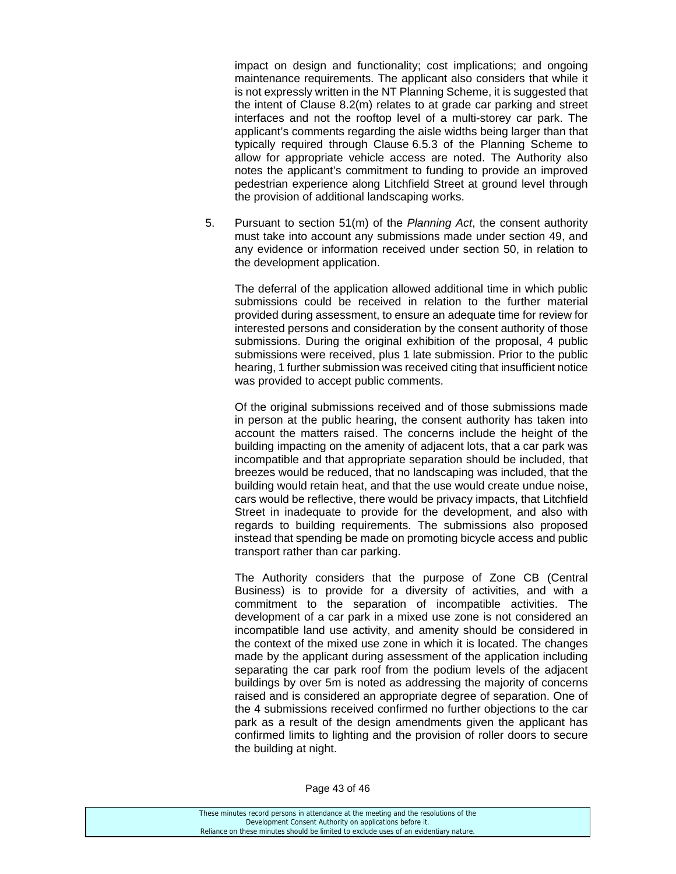impact on design and functionality; cost implications; and ongoing maintenance requirements. The applicant also considers that while it is not expressly written in the NT Planning Scheme, it is suggested that the intent of Clause 8.2(m) relates to at grade car parking and street interfaces and not the rooftop level of a multi-storey car park. The applicant's comments regarding the aisle widths being larger than that typically required through Clause 6.5.3 of the Planning Scheme to allow for appropriate vehicle access are noted. The Authority also notes the applicant's commitment to funding to provide an improved pedestrian experience along Litchfield Street at ground level through the provision of additional landscaping works.

5. Pursuant to section 51(m) of the *Planning Act*, the consent authority must take into account any submissions made under section 49, and any evidence or information received under section 50, in relation to the development application.

The deferral of the application allowed additional time in which public submissions could be received in relation to the further material provided during assessment, to ensure an adequate time for review for interested persons and consideration by the consent authority of those submissions. During the original exhibition of the proposal, 4 public submissions were received, plus 1 late submission. Prior to the public hearing, 1 further submission was received citing that insufficient notice was provided to accept public comments.

Of the original submissions received and of those submissions made in person at the public hearing, the consent authority has taken into account the matters raised. The concerns include the height of the building impacting on the amenity of adjacent lots, that a car park was incompatible and that appropriate separation should be included, that breezes would be reduced, that no landscaping was included, that the building would retain heat, and that the use would create undue noise, cars would be reflective, there would be privacy impacts, that Litchfield Street in inadequate to provide for the development, and also with regards to building requirements. The submissions also proposed instead that spending be made on promoting bicycle access and public transport rather than car parking.

The Authority considers that the purpose of Zone CB (Central Business) is to provide for a diversity of activities, and with a commitment to the separation of incompatible activities. The development of a car park in a mixed use zone is not considered an incompatible land use activity, and amenity should be considered in the context of the mixed use zone in which it is located. The changes made by the applicant during assessment of the application including separating the car park roof from the podium levels of the adjacent buildings by over 5m is noted as addressing the majority of concerns raised and is considered an appropriate degree of separation. One of the 4 submissions received confirmed no further objections to the car park as a result of the design amendments given the applicant has confirmed limits to lighting and the provision of roller doors to secure the building at night.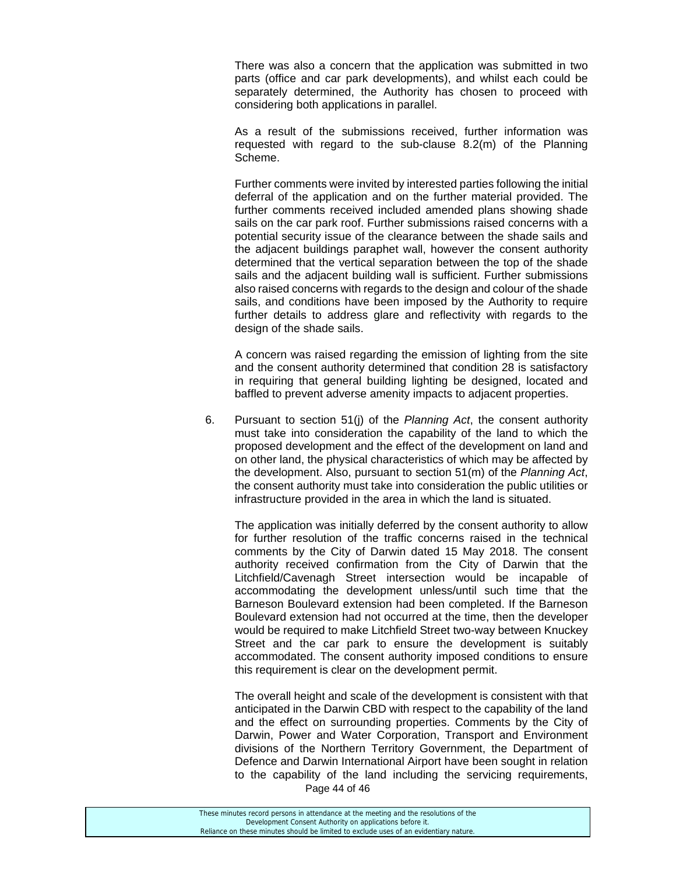There was also a concern that the application was submitted in two parts (office and car park developments), and whilst each could be separately determined, the Authority has chosen to proceed with considering both applications in parallel.

As a result of the submissions received, further information was requested with regard to the sub-clause 8.2(m) of the Planning Scheme.

Further comments were invited by interested parties following the initial deferral of the application and on the further material provided. The further comments received included amended plans showing shade sails on the car park roof. Further submissions raised concerns with a potential security issue of the clearance between the shade sails and the adjacent buildings paraphet wall, however the consent authority determined that the vertical separation between the top of the shade sails and the adjacent building wall is sufficient. Further submissions also raised concerns with regards to the design and colour of the shade sails, and conditions have been imposed by the Authority to require further details to address glare and reflectivity with regards to the design of the shade sails.

A concern was raised regarding the emission of lighting from the site and the consent authority determined that condition 28 is satisfactory in requiring that general building lighting be designed, located and baffled to prevent adverse amenity impacts to adjacent properties.

6. Pursuant to section 51(j) of the *Planning Act*, the consent authority must take into consideration the capability of the land to which the proposed development and the effect of the development on land and on other land, the physical characteristics of which may be affected by the development. Also, pursuant to section 51(m) of the *Planning Act*, the consent authority must take into consideration the public utilities or infrastructure provided in the area in which the land is situated.

 The application was initially deferred by the consent authority to allow for further resolution of the traffic concerns raised in the technical comments by the City of Darwin dated 15 May 2018. The consent authority received confirmation from the City of Darwin that the Litchfield/Cavenagh Street intersection would be incapable of accommodating the development unless/until such time that the Barneson Boulevard extension had been completed. If the Barneson Boulevard extension had not occurred at the time, then the developer would be required to make Litchfield Street two-way between Knuckey Street and the car park to ensure the development is suitably accommodated. The consent authority imposed conditions to ensure this requirement is clear on the development permit.

Page 44 of 46 The overall height and scale of the development is consistent with that anticipated in the Darwin CBD with respect to the capability of the land and the effect on surrounding properties. Comments by the City of Darwin, Power and Water Corporation, Transport and Environment divisions of the Northern Territory Government, the Department of Defence and Darwin International Airport have been sought in relation to the capability of the land including the servicing requirements,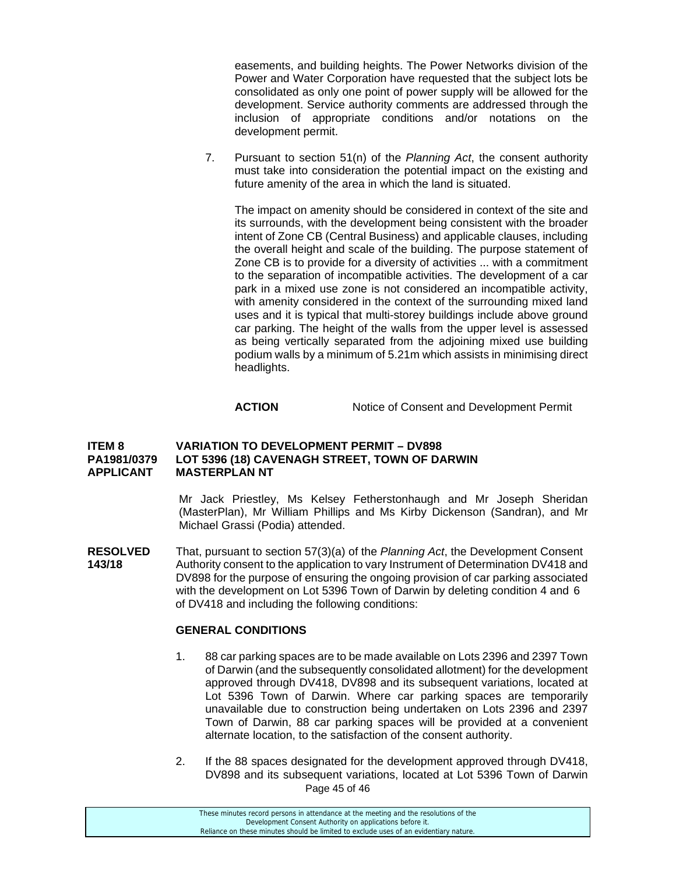easements, and building heights. The Power Networks division of the Power and Water Corporation have requested that the subject lots be consolidated as only one point of power supply will be allowed for the development. Service authority comments are addressed through the inclusion of appropriate conditions and/or notations on the development permit.

7. Pursuant to section 51(n) of the *Planning Act*, the consent authority must take into consideration the potential impact on the existing and future amenity of the area in which the land is situated.

The impact on amenity should be considered in context of the site and its surrounds, with the development being consistent with the broader intent of Zone CB (Central Business) and applicable clauses, including the overall height and scale of the building. The purpose statement of Zone CB is to provide for a diversity of activities ... with a commitment to the separation of incompatible activities. The development of a car park in a mixed use zone is not considered an incompatible activity, with amenity considered in the context of the surrounding mixed land uses and it is typical that multi-storey buildings include above ground car parking. The height of the walls from the upper level is assessed as being vertically separated from the adjoining mixed use building podium walls by a minimum of 5.21m which assists in minimising direct headlights.

# **ACTION** Notice of Consent and Development Permit

#### **ITEM 8 VARIATION TO DEVELOPMENT PERMIT – DV898 PA1981/0379 LOT 5396 (18) CAVENAGH STREET, TOWN OF DARWIN APPLICANT MASTERPLAN NT**

Mr Jack Priestley, Ms Kelsey Fetherstonhaugh and Mr Joseph Sheridan (MasterPlan), Mr William Phillips and Ms Kirby Dickenson (Sandran), and Mr Michael Grassi (Podia) attended.

**RESOLVED** That, pursuant to section 57(3)(a) of the *Planning Act*, the Development Consent **143/18** Authority consent to the application to vary Instrument of Determination DV418 and DV898 for the purpose of ensuring the ongoing provision of car parking associated with the development on Lot 5396 Town of Darwin by deleting condition 4 and 6 of DV418 and including the following conditions:

#### **GENERAL CONDITIONS**

- 1. 88 car parking spaces are to be made available on Lots 2396 and 2397 Town of Darwin (and the subsequently consolidated allotment) for the development approved through DV418, DV898 and its subsequent variations, located at Lot 5396 Town of Darwin. Where car parking spaces are temporarily unavailable due to construction being undertaken on Lots 2396 and 2397 Town of Darwin, 88 car parking spaces will be provided at a convenient alternate location, to the satisfaction of the consent authority.
- Page 45 of 46 2. If the 88 spaces designated for the development approved through DV418, DV898 and its subsequent variations, located at Lot 5396 Town of Darwin